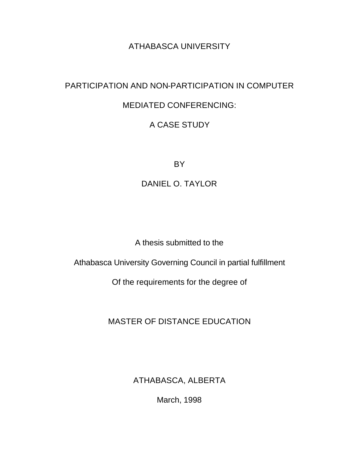# ATHABASCA UNIVERSITY

# PARTICIPATION AND NON-PARTICIPATION IN COMPUTER

## MEDIATED CONFERENCING:

# A CASE STUDY

BY

DANIEL O. TAYLOR

A thesis submitted to the

Athabasca University Governing Council in partial fulfillment

Of the requirements for the degree of

MASTER OF DISTANCE EDUCATION

ATHABASCA, ALBERTA

March, 1998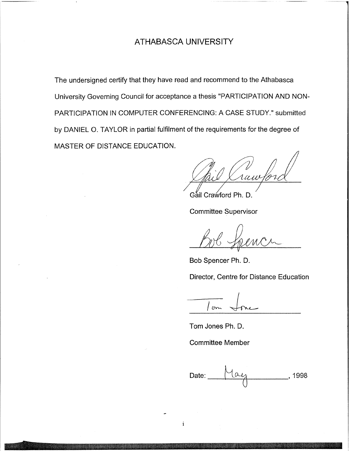## ATHABASCA UNIVERSITY

The undersigned certify that they have read and recommend to the Athabasca University Governing Council for acceptance a thesis "PARTICIPATION AND NON-PARTICIPATION IN COMPUTER CONFERENCING: A CASE STUDY." submitted by DANIEL O. TAYLOR in partial fulfilment of the requirements for the degree of MASTER OF DISTANCE EDUCATION.

raw 10

Gail Crawford Ph. D.

**Committee Supervisor** 

Bob Spencer Ph. D.

Director, Centre for Distance Education

 $\sqrt{2}$ 

Tom Jones Ph. D.

**Committee Member** 

 $\mathbf{i}$ 

Date: 1998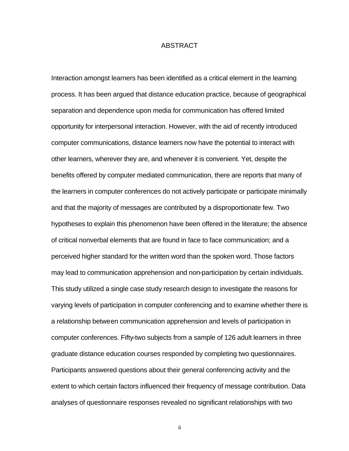### ABSTRACT

Interaction amongst learners has been identified as a critical element in the learning process. It has been argued that distance education practice, because of geographical separation and dependence upon media for communication has offered limited opportunity for interpersonal interaction. However, with the aid of recently introduced computer communications, distance learners now have the potential to interact with other learners, wherever they are, and whenever it is convenient. Yet, despite the benefits offered by computer mediated communication, there are reports that many of the learners in computer conferences do not actively participate or participate minimally and that the majority of messages are contributed by a disproportionate few. Two hypotheses to explain this phenomenon have been offered in the literature; the absence of critical nonverbal elements that are found in face to face communication; and a perceived higher standard for the written word than the spoken word. Those factors may lead to communication apprehension and non-participation by certain individuals. This study utilized a single case study research design to investigate the reasons for varying levels of participation in computer conferencing and to examine whether there is a relationship between communication apprehension and levels of participation in computer conferences. Fifty-two subjects from a sample of 126 adult learners in three graduate distance education courses responded by completing two questionnaires. Participants answered questions about their general conferencing activity and the extent to which certain factors influenced their frequency of message contribution. Data analyses of questionnaire responses revealed no significant relationships with two

ii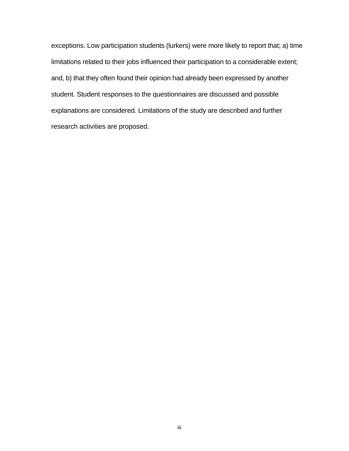exceptions. Low participation students (lurkers) were more likely to report that; a) time limitations related to their jobs influenced their participation to a considerable extent; and, b) that they often found their opinion had already been expressed by another student. Student responses to the questionnaires are discussed and possible explanations are considered. Limitations of the study are described and further research activities are proposed.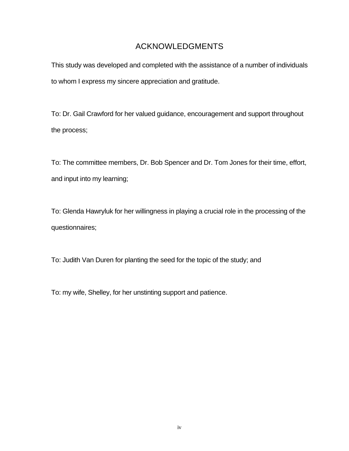## ACKNOWLEDGMENTS

This study was developed and completed with the assistance of a number of individuals to whom I express my sincere appreciation and gratitude.

To: Dr. Gail Crawford for her valued guidance, encouragement and support throughout the process;

To: The committee members, Dr. Bob Spencer and Dr. Tom Jones for their time, effort, and input into my learning;

To: Glenda Hawryluk for her willingness in playing a crucial role in the processing of the questionnaires;

To: Judith Van Duren for planting the seed for the topic of the study; and

To: my wife, Shelley, for her unstinting support and patience.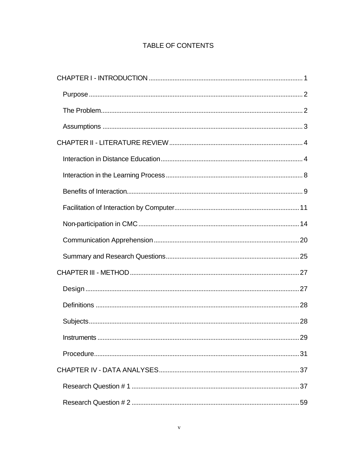## TABLE OF CONTENTS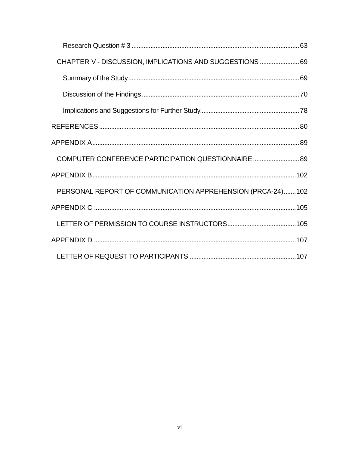| CHAPTER V - DISCUSSION, IMPLICATIONS AND SUGGESTIONS  69   |
|------------------------------------------------------------|
|                                                            |
|                                                            |
|                                                            |
|                                                            |
|                                                            |
| COMPUTER CONFERENCE PARTICIPATION QUESTIONNAIRE  89        |
|                                                            |
| PERSONAL REPORT OF COMMUNICATION APPREHENSION (PRCA-24)102 |
|                                                            |
|                                                            |
|                                                            |
|                                                            |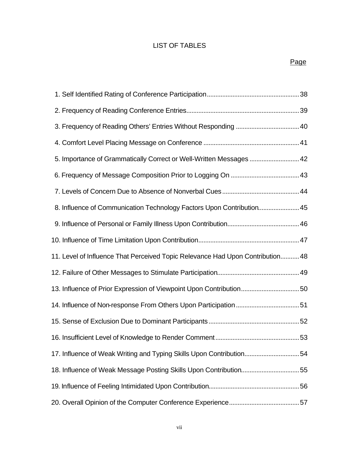## LIST OF TABLES

| 3. Frequency of Reading Others' Entries Without Responding  40                 |  |
|--------------------------------------------------------------------------------|--|
|                                                                                |  |
| 5. Importance of Grammatically Correct or Well-Written Messages  42            |  |
|                                                                                |  |
|                                                                                |  |
| 8. Influence of Communication Technology Factors Upon Contribution 45          |  |
|                                                                                |  |
|                                                                                |  |
| 11. Level of Influence That Perceived Topic Relevance Had Upon Contribution 48 |  |
|                                                                                |  |
| 13. Influence of Prior Expression of Viewpoint Upon Contribution50             |  |
|                                                                                |  |
|                                                                                |  |
|                                                                                |  |
| 17. Influence of Weak Writing and Typing Skills Upon Contribution54            |  |
| 18. Influence of Weak Message Posting Skills Upon Contribution55               |  |
|                                                                                |  |
|                                                                                |  |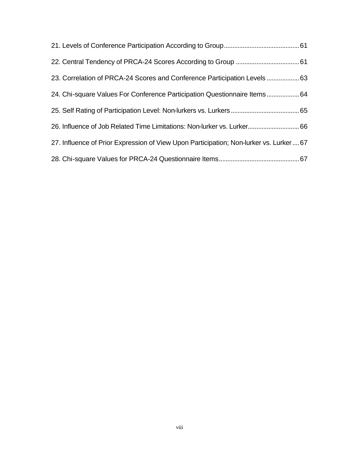| 23. Correlation of PRCA-24 Scores and Conference Participation Levels  63               |  |
|-----------------------------------------------------------------------------------------|--|
| 24. Chi-square Values For Conference Participation Questionnaire Items64                |  |
|                                                                                         |  |
| 26. Influence of Job Related Time Limitations: Non-lurker vs. Lurker 66                 |  |
| 27. Influence of Prior Expression of View Upon Participation; Non-lurker vs. Lurker  67 |  |
|                                                                                         |  |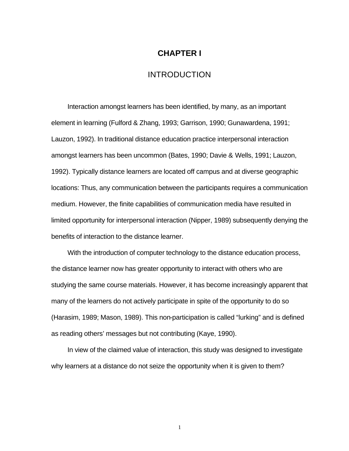### **CHAPTER I**

### INTRODUCTION

Interaction amongst learners has been identified, by many, as an important element in learning (Fulford & Zhang, 1993; Garrison, 1990; Gunawardena, 1991; Lauzon, 1992). In traditional distance education practice interpersonal interaction amongst learners has been uncommon (Bates, 1990; Davie & Wells, 1991; Lauzon, 1992). Typically distance learners are located off campus and at diverse geographic locations: Thus, any communication between the participants requires a communication medium. However, the finite capabilities of communication media have resulted in limited opportunity for interpersonal interaction (Nipper, 1989) subsequently denying the benefits of interaction to the distance learner.

With the introduction of computer technology to the distance education process, the distance learner now has greater opportunity to interact with others who are studying the same course materials. However, it has become increasingly apparent that many of the learners do not actively participate in spite of the opportunity to do so (Harasim, 1989; Mason, 1989). This non-participation is called "lurking" and is defined as reading others' messages but not contributing (Kaye, 1990).

In view of the claimed value of interaction, this study was designed to investigate why learners at a distance do not seize the opportunity when it is given to them?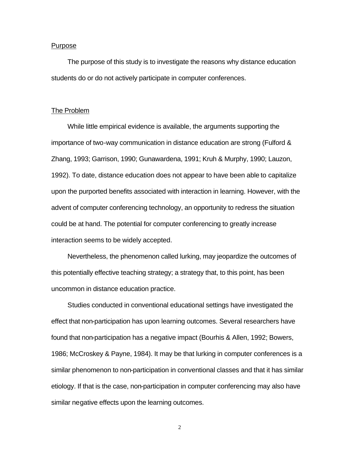#### Purpose

The purpose of this study is to investigate the reasons why distance education students do or do not actively participate in computer conferences.

#### The Problem

While little empirical evidence is available, the arguments supporting the importance of two-way communication in distance education are strong (Fulford & Zhang, 1993; Garrison, 1990; Gunawardena, 1991; Kruh & Murphy, 1990; Lauzon, 1992). To date, distance education does not appear to have been able to capitalize upon the purported benefits associated with interaction in learning. However, with the advent of computer conferencing technology, an opportunity to redress the situation could be at hand. The potential for computer conferencing to greatly increase interaction seems to be widely accepted.

Nevertheless, the phenomenon called lurking, may jeopardize the outcomes of this potentially effective teaching strategy; a strategy that, to this point, has been uncommon in distance education practice.

Studies conducted in conventional educational settings have investigated the effect that non-participation has upon learning outcomes. Several researchers have found that non-participation has a negative impact (Bourhis & Allen, 1992; Bowers, 1986; McCroskey & Payne, 1984). It may be that lurking in computer conferences is a similar phenomenon to non-participation in conventional classes and that it has similar etiology. If that is the case, non-participation in computer conferencing may also have similar negative effects upon the learning outcomes.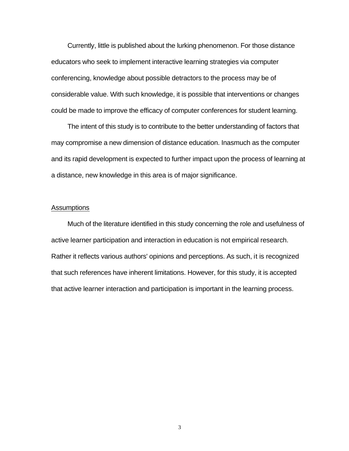Currently, little is published about the lurking phenomenon. For those distance educators who seek to implement interactive learning strategies via computer conferencing, knowledge about possible detractors to the process may be of considerable value. With such knowledge, it is possible that interventions or changes could be made to improve the efficacy of computer conferences for student learning.

The intent of this study is to contribute to the better understanding of factors that may compromise a new dimension of distance education. Inasmuch as the computer and its rapid development is expected to further impact upon the process of learning at a distance, new knowledge in this area is of major significance.

### **Assumptions**

Much of the literature identified in this study concerning the role and usefulness of active learner participation and interaction in education is not empirical research. Rather it reflects various authors' opinions and perceptions. As such, it is recognized that such references have inherent limitations. However, for this study, it is accepted that active learner interaction and participation is important in the learning process.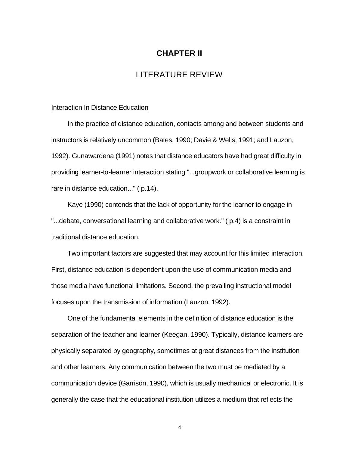### **CHAPTER II**

## LITERATURE REVIEW

#### Interaction In Distance Education

In the practice of distance education, contacts among and between students and instructors is relatively uncommon (Bates, 1990; Davie & Wells, 1991; and Lauzon, 1992). Gunawardena (1991) notes that distance educators have had great difficulty in providing learner-to-learner interaction stating "...groupwork or collaborative learning is rare in distance education..." ( p.14).

Kaye (1990) contends that the lack of opportunity for the learner to engage in "...debate, conversational learning and collaborative work." ( p.4) is a constraint in traditional distance education.

Two important factors are suggested that may account for this limited interaction. First, distance education is dependent upon the use of communication media and those media have functional limitations. Second, the prevailing instructional model focuses upon the transmission of information (Lauzon, 1992).

One of the fundamental elements in the definition of distance education is the separation of the teacher and learner (Keegan, 1990). Typically, distance learners are physically separated by geography, sometimes at great distances from the institution and other learners. Any communication between the two must be mediated by a communication device (Garrison, 1990), which is usually mechanical or electronic. It is generally the case that the educational institution utilizes a medium that reflects the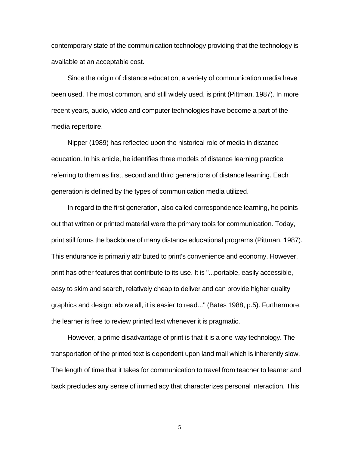contemporary state of the communication technology providing that the technology is available at an acceptable cost.

Since the origin of distance education, a variety of communication media have been used. The most common, and still widely used, is print (Pittman, 1987). In more recent years, audio, video and computer technologies have become a part of the media repertoire.

Nipper (1989) has reflected upon the historical role of media in distance education. In his article, he identifies three models of distance learning practice referring to them as first, second and third generations of distance learning. Each generation is defined by the types of communication media utilized.

In regard to the first generation, also called correspondence learning, he points out that written or printed material were the primary tools for communication. Today, print still forms the backbone of many distance educational programs (Pittman, 1987). This endurance is primarily attributed to print's convenience and economy. However, print has other features that contribute to its use. It is "...portable, easily accessible, easy to skim and search, relatively cheap to deliver and can provide higher quality graphics and design: above all, it is easier to read..." (Bates 1988, p.5). Furthermore, the learner is free to review printed text whenever it is pragmatic.

However, a prime disadvantage of print is that it is a one-way technology. The transportation of the printed text is dependent upon land mail which is inherently slow. The length of time that it takes for communication to travel from teacher to learner and back precludes any sense of immediacy that characterizes personal interaction. This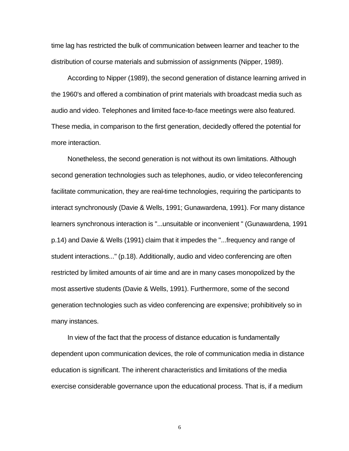time lag has restricted the bulk of communication between learner and teacher to the distribution of course materials and submission of assignments (Nipper, 1989).

According to Nipper (1989), the second generation of distance learning arrived in the 1960's and offered a combination of print materials with broadcast media such as audio and video. Telephones and limited face-to-face meetings were also featured. These media, in comparison to the first generation, decidedly offered the potential for more interaction.

Nonetheless, the second generation is not without its own limitations. Although second generation technologies such as telephones, audio, or video teleconferencing facilitate communication, they are real-time technologies, requiring the participants to interact synchronously (Davie & Wells, 1991; Gunawardena, 1991). For many distance learners synchronous interaction is "...unsuitable or inconvenient " (Gunawardena, 1991 p.14) and Davie & Wells (1991) claim that it impedes the "...frequency and range of student interactions..." (p.18). Additionally, audio and video conferencing are often restricted by limited amounts of air time and are in many cases monopolized by the most assertive students (Davie & Wells, 1991). Furthermore, some of the second generation technologies such as video conferencing are expensive; prohibitively so in many instances.

In view of the fact that the process of distance education is fundamentally dependent upon communication devices, the role of communication media in distance education is significant. The inherent characteristics and limitations of the media exercise considerable governance upon the educational process. That is, if a medium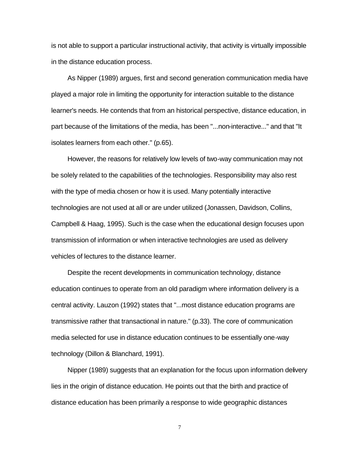is not able to support a particular instructional activity, that activity is virtually impossible in the distance education process.

As Nipper (1989) argues, first and second generation communication media have played a major role in limiting the opportunity for interaction suitable to the distance learner's needs. He contends that from an historical perspective, distance education, in part because of the limitations of the media, has been "...non-interactive..." and that "It isolates learners from each other." (p.65).

However, the reasons for relatively low levels of two-way communication may not be solely related to the capabilities of the technologies. Responsibility may also rest with the type of media chosen or how it is used. Many potentially interactive technologies are not used at all or are under utilized (Jonassen, Davidson, Collins, Campbell & Haag, 1995). Such is the case when the educational design focuses upon transmission of information or when interactive technologies are used as delivery vehicles of lectures to the distance learner.

Despite the recent developments in communication technology, distance education continues to operate from an old paradigm where information delivery is a central activity. Lauzon (1992) states that "...most distance education programs are transmissive rather that transactional in nature." (p.33). The core of communication media selected for use in distance education continues to be essentially one-way technology (Dillon & Blanchard, 1991).

Nipper (1989) suggests that an explanation for the focus upon information delivery lies in the origin of distance education. He points out that the birth and practice of distance education has been primarily a response to wide geographic distances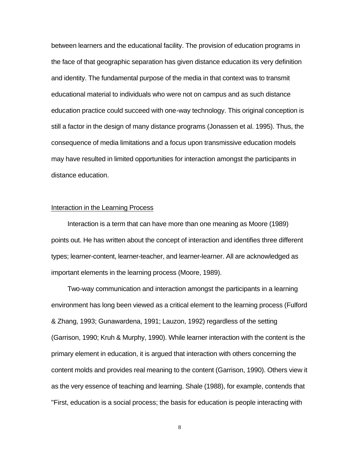between learners and the educational facility. The provision of education programs in the face of that geographic separation has given distance education its very definition and identity. The fundamental purpose of the media in that context was to transmit educational material to individuals who were not on campus and as such distance education practice could succeed with one-way technology. This original conception is still a factor in the design of many distance programs (Jonassen et al. 1995). Thus, the consequence of media limitations and a focus upon transmissive education models may have resulted in limited opportunities for interaction amongst the participants in distance education.

#### Interaction in the Learning Process

Interaction is a term that can have more than one meaning as Moore (1989) points out. He has written about the concept of interaction and identifies three different types; learner-content, learner-teacher, and learner-learner. All are acknowledged as important elements in the learning process (Moore, 1989).

Two-way communication and interaction amongst the participants in a learning environment has long been viewed as a critical element to the learning process (Fulford & Zhang, 1993; Gunawardena, 1991; Lauzon, 1992) regardless of the setting (Garrison, 1990; Kruh & Murphy, 1990). While learner interaction with the content is the primary element in education, it is argued that interaction with others concerning the content molds and provides real meaning to the content (Garrison, 1990). Others view it as the very essence of teaching and learning. Shale (1988), for example, contends that "First, education is a social process; the basis for education is people interacting with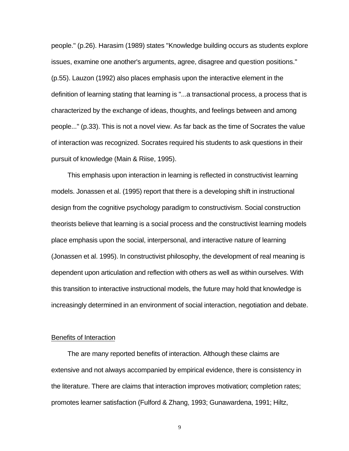people." (p.26). Harasim (1989) states "Knowledge building occurs as students explore issues, examine one another's arguments, agree, disagree and question positions." (p.55). Lauzon (1992) also places emphasis upon the interactive element in the definition of learning stating that learning is "...a transactional process, a process that is characterized by the exchange of ideas, thoughts, and feelings between and among people..." (p.33). This is not a novel view. As far back as the time of Socrates the value of interaction was recognized. Socrates required his students to ask questions in their pursuit of knowledge (Main & Riise, 1995).

This emphasis upon interaction in learning is reflected in constructivist learning models. Jonassen et al. (1995) report that there is a developing shift in instructional design from the cognitive psychology paradigm to constructivism. Social construction theorists believe that learning is a social process and the constructivist learning models place emphasis upon the social, interpersonal, and interactive nature of learning (Jonassen et al. 1995). In constructivist philosophy, the development of real meaning is dependent upon articulation and reflection with others as well as within ourselves. With this transition to interactive instructional models, the future may hold that knowledge is increasingly determined in an environment of social interaction, negotiation and debate.

### Benefits of Interaction

The are many reported benefits of interaction. Although these claims are extensive and not always accompanied by empirical evidence, there is consistency in the literature. There are claims that interaction improves motivation; completion rates; promotes learner satisfaction (Fulford & Zhang, 1993; Gunawardena, 1991; Hiltz,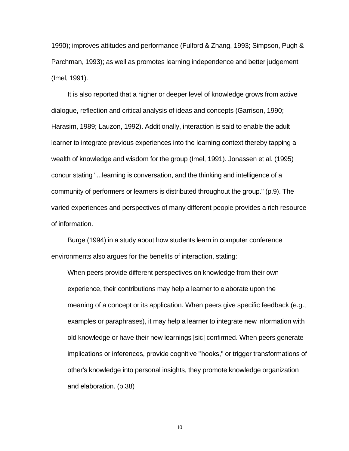1990); improves attitudes and performance (Fulford & Zhang, 1993; Simpson, Pugh & Parchman, 1993); as well as promotes learning independence and better judgement (Imel, 1991).

It is also reported that a higher or deeper level of knowledge grows from active dialogue, reflection and critical analysis of ideas and concepts (Garrison, 1990; Harasim, 1989; Lauzon, 1992). Additionally, interaction is said to enable the adult learner to integrate previous experiences into the learning context thereby tapping a wealth of knowledge and wisdom for the group (Imel, 1991). Jonassen et al. (1995) concur stating "...learning is conversation, and the thinking and intelligence of a community of performers or learners is distributed throughout the group." (p.9). The varied experiences and perspectives of many different people provides a rich resource of information.

Burge (1994) in a study about how students learn in computer conference environments also argues for the benefits of interaction, stating:

When peers provide different perspectives on knowledge from their own experience, their contributions may help a learner to elaborate upon the meaning of a concept or its application. When peers give specific feedback (e.g., examples or paraphrases), it may help a learner to integrate new information with old knowledge or have their new learnings [sic] confirmed. When peers generate implications or inferences, provide cognitive "hooks," or trigger transformations of other's knowledge into personal insights, they promote knowledge organization and elaboration. (p.38)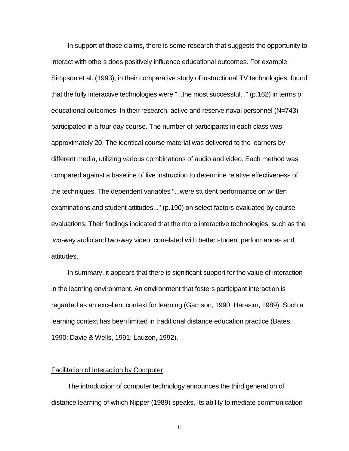In support of those claims, there is some research that suggests the opportunity to interact with others does positively influence educational outcomes. For example, Simpson et al. (1993), in their comparative study of instructional TV technologies, found that the fully interactive technologies were "...the most successful..." (p.162) in terms of educational outcomes. In their research, active and reserve naval personnel (N=743) participated in a four day course. The number of participants in each class was approximately 20. The identical course material was delivered to the learners by different media, utilizing various combinations of audio and video. Each method was compared against a baseline of live instruction to determine relative effectiveness of the techniques. The dependent variables "...were student performance on written examinations and student attitudes..." (p.190) on select factors evaluated by course evaluations. Their findings indicated that the more interactive technologies, such as the two-way audio and two-way video, correlated with better student performances and attitudes.

In summary, it appears that there is significant support for the value of interaction in the learning environment. An environment that fosters participant interaction is regarded as an excellent context for learning (Garrison, 1990; Harasim, 1989). Such a learning context has been limited in traditional distance education practice (Bates, 1990; Davie & Wells, 1991; Lauzon, 1992).

### Facilitation of Interaction by Computer

The introduction of computer technology announces the third generation of distance learning of which Nipper (1989) speaks. Its ability to mediate communication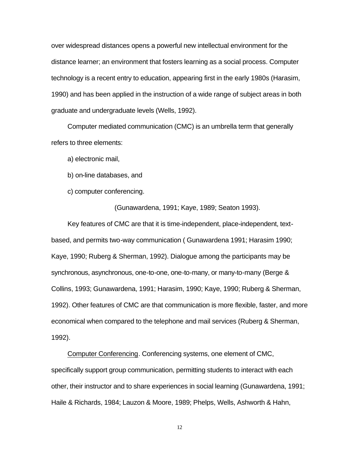over widespread distances opens a powerful new intellectual environment for the distance learner; an environment that fosters learning as a social process. Computer technology is a recent entry to education, appearing first in the early 1980s (Harasim, 1990) and has been applied in the instruction of a wide range of subject areas in both graduate and undergraduate levels (Wells, 1992).

Computer mediated communication (CMC) is an umbrella term that generally refers to three elements:

a) electronic mail,

b) on-line databases, and

c) computer conferencing.

(Gunawardena, 1991; Kaye, 1989; Seaton 1993).

Key features of CMC are that it is time-independent, place-independent, textbased, and permits two-way communication ( Gunawardena 1991; Harasim 1990; Kaye, 1990; Ruberg & Sherman, 1992). Dialogue among the participants may be synchronous, asynchronous, one-to-one, one-to-many, or many-to-many (Berge & Collins, 1993; Gunawardena, 1991; Harasim, 1990; Kaye, 1990; Ruberg & Sherman, 1992). Other features of CMC are that communication is more flexible, faster, and more economical when compared to the telephone and mail services (Ruberg & Sherman, 1992).

Computer Conferencing. Conferencing systems, one element of CMC, specifically support group communication, permitting students to interact with each other, their instructor and to share experiences in social learning (Gunawardena, 1991; Haile & Richards, 1984; Lauzon & Moore, 1989; Phelps, Wells, Ashworth & Hahn,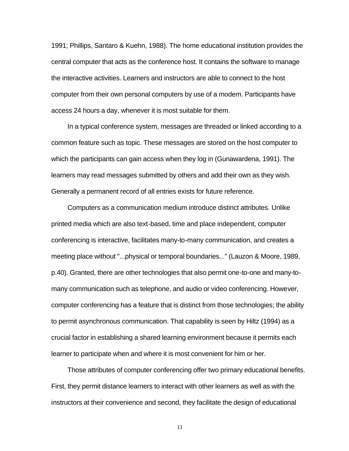1991; Phillips, Santaro & Kuehn, 1988). The home educational institution provides the central computer that acts as the conference host. It contains the software to manage the interactive activities. Learners and instructors are able to connect to the host computer from their own personal computers by use of a modem. Participants have access 24 hours a day, whenever it is most suitable for them.

In a typical conference system, messages are threaded or linked according to a common feature such as topic. These messages are stored on the host computer to which the participants can gain access when they log in (Gunawardena, 1991). The learners may read messages submitted by others and add their own as they wish. Generally a permanent record of all entries exists for future reference.

Computers as a communication medium introduce distinct attributes. Unlike printed media which are also text-based, time and place independent, computer conferencing is interactive, facilitates many-to-many communication, and creates a meeting place without "...physical or temporal boundaries..." (Lauzon & Moore, 1989, p.40). Granted, there are other technologies that also permit one-to-one and many-tomany communication such as telephone, and audio or video conferencing. However, computer conferencing has a feature that is distinct from those technologies; the ability to permit asynchronous communication. That capability is seen by Hiltz (1994) as a crucial factor in establishing a shared learning environment because it permits each learner to participate when and where it is most convenient for him or her.

Those attributes of computer conferencing offer two primary educational benefits. First, they permit distance learners to interact with other learners as well as with the instructors at their convenience and second, they facilitate the design of educational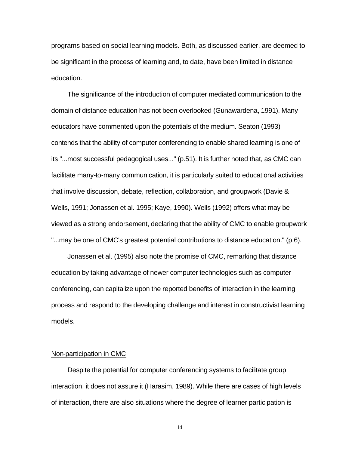programs based on social learning models. Both, as discussed earlier, are deemed to be significant in the process of learning and, to date, have been limited in distance education.

The significance of the introduction of computer mediated communication to the domain of distance education has not been overlooked (Gunawardena, 1991). Many educators have commented upon the potentials of the medium. Seaton (1993) contends that the ability of computer conferencing to enable shared learning is one of its "...most successful pedagogical uses..." (p.51). It is further noted that, as CMC can facilitate many-to-many communication, it is particularly suited to educational activities that involve discussion, debate, reflection, collaboration, and groupwork (Davie & Wells, 1991; Jonassen et al. 1995; Kaye, 1990). Wells (1992) offers what may be viewed as a strong endorsement, declaring that the ability of CMC to enable groupwork "...may be one of CMC's greatest potential contributions to distance education." (p.6).

Jonassen et al. (1995) also note the promise of CMC, remarking that distance education by taking advantage of newer computer technologies such as computer conferencing, can capitalize upon the reported benefits of interaction in the learning process and respond to the developing challenge and interest in constructivist learning models.

### Non-participation in CMC

Despite the potential for computer conferencing systems to facilitate group interaction, it does not assure it (Harasim, 1989). While there are cases of high levels of interaction, there are also situations where the degree of learner participation is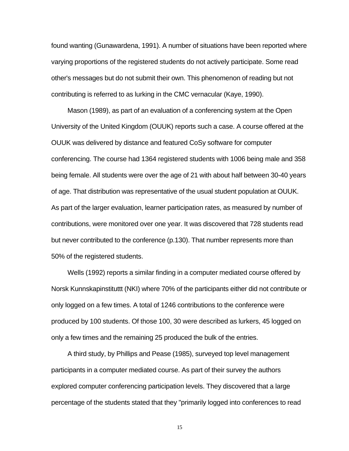found wanting (Gunawardena, 1991). A number of situations have been reported where varying proportions of the registered students do not actively participate. Some read other's messages but do not submit their own. This phenomenon of reading but not contributing is referred to as lurking in the CMC vernacular (Kaye, 1990).

Mason (1989), as part of an evaluation of a conferencing system at the Open University of the United Kingdom (OUUK) reports such a case. A course offered at the OUUK was delivered by distance and featured CoSy software for computer conferencing. The course had 1364 registered students with 1006 being male and 358 being female. All students were over the age of 21 with about half between 30-40 years of age. That distribution was representative of the usual student population at OUUK. As part of the larger evaluation, learner participation rates, as measured by number of contributions, were monitored over one year. It was discovered that 728 students read but never contributed to the conference (p.130). That number represents more than 50% of the registered students.

Wells (1992) reports a similar finding in a computer mediated course offered by Norsk Kunnskapinstituttt (NKI) where 70% of the participants either did not contribute or only logged on a few times. A total of 1246 contributions to the conference were produced by 100 students. Of those 100, 30 were described as lurkers, 45 logged on only a few times and the remaining 25 produced the bulk of the entries.

A third study, by Phillips and Pease (1985), surveyed top level management participants in a computer mediated course. As part of their survey the authors explored computer conferencing participation levels. They discovered that a large percentage of the students stated that they "primarily logged into conferences to read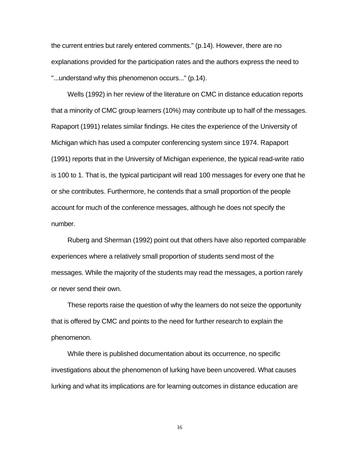the current entries but rarely entered comments." (p.14). However, there are no explanations provided for the participation rates and the authors express the need to "...understand why this phenomenon occurs..." (p.14).

Wells (1992) in her review of the literature on CMC in distance education reports that a minority of CMC group learners (10%) may contribute up to half of the messages. Rapaport (1991) relates similar findings. He cites the experience of the University of Michigan which has used a computer conferencing system since 1974. Rapaport (1991) reports that in the University of Michigan experience, the typical read-write ratio is 100 to 1. That is, the typical participant will read 100 messages for every one that he or she contributes. Furthermore, he contends that a small proportion of the people account for much of the conference messages, although he does not specify the number.

Ruberg and Sherman (1992) point out that others have also reported comparable experiences where a relatively small proportion of students send most of the messages. While the majority of the students may read the messages, a portion rarely or never send their own.

These reports raise the question of why the learners do not seize the opportunity that is offered by CMC and points to the need for further research to explain the phenomenon.

While there is published documentation about its occurrence, no specific investigations about the phenomenon of lurking have been uncovered. What causes lurking and what its implications are for learning outcomes in distance education are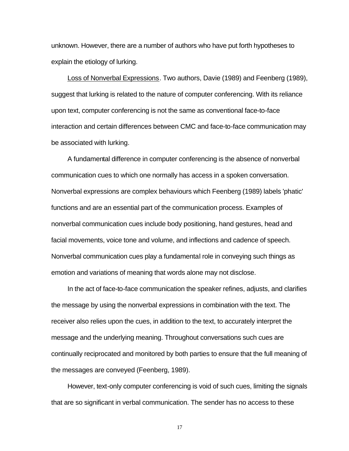unknown. However, there are a number of authors who have put forth hypotheses to explain the etiology of lurking.

Loss of Nonverbal Expressions. Two authors, Davie (1989) and Feenberg (1989), suggest that lurking is related to the nature of computer conferencing. With its reliance upon text, computer conferencing is not the same as conventional face-to-face interaction and certain differences between CMC and face-to-face communication may be associated with lurking.

A fundamental difference in computer conferencing is the absence of nonverbal communication cues to which one normally has access in a spoken conversation. Nonverbal expressions are complex behaviours which Feenberg (1989) labels 'phatic' functions and are an essential part of the communication process. Examples of nonverbal communication cues include body positioning, hand gestures, head and facial movements, voice tone and volume, and inflections and cadence of speech. Nonverbal communication cues play a fundamental role in conveying such things as emotion and variations of meaning that words alone may not disclose.

In the act of face-to-face communication the speaker refines, adjusts, and clarifies the message by using the nonverbal expressions in combination with the text. The receiver also relies upon the cues, in addition to the text, to accurately interpret the message and the underlying meaning. Throughout conversations such cues are continually reciprocated and monitored by both parties to ensure that the full meaning of the messages are conveyed (Feenberg, 1989).

However, text-only computer conferencing is void of such cues, limiting the signals that are so significant in verbal communication. The sender has no access to these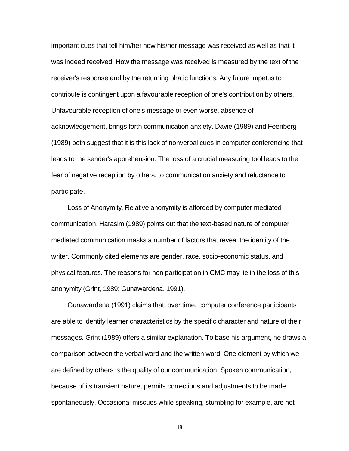important cues that tell him/her how his/her message was received as well as that it was indeed received. How the message was received is measured by the text of the receiver's response and by the returning phatic functions. Any future impetus to contribute is contingent upon a favourable reception of one's contribution by others. Unfavourable reception of one's message or even worse, absence of acknowledgement, brings forth communication anxiety. Davie (1989) and Feenberg (1989) both suggest that it is this lack of nonverbal cues in computer conferencing that leads to the sender's apprehension. The loss of a crucial measuring tool leads to the fear of negative reception by others, to communication anxiety and reluctance to participate.

Loss of Anonymity. Relative anonymity is afforded by computer mediated communication. Harasim (1989) points out that the text-based nature of computer mediated communication masks a number of factors that reveal the identity of the writer. Commonly cited elements are gender, race, socio-economic status, and physical features. The reasons for non-participation in CMC may lie in the loss of this anonymity (Grint, 1989; Gunawardena, 1991).

Gunawardena (1991) claims that, over time, computer conference participants are able to identify learner characteristics by the specific character and nature of their messages. Grint (1989) offers a similar explanation. To base his argument, he draws a comparison between the verbal word and the written word. One element by which we are defined by others is the quality of our communication. Spoken communication, because of its transient nature, permits corrections and adjustments to be made spontaneously. Occasional miscues while speaking, stumbling for example, are not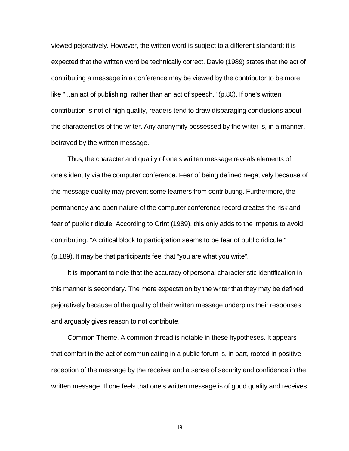viewed pejoratively. However, the written word is subject to a different standard; it is expected that the written word be technically correct. Davie (1989) states that the act of contributing a message in a conference may be viewed by the contributor to be more like "...an act of publishing, rather than an act of speech." (p.80). If one's written contribution is not of high quality, readers tend to draw disparaging conclusions about the characteristics of the writer. Any anonymity possessed by the writer is, in a manner, betrayed by the written message.

Thus, the character and quality of one's written message reveals elements of one's identity via the computer conference. Fear of being defined negatively because of the message quality may prevent some learners from contributing. Furthermore, the permanency and open nature of the computer conference record creates the risk and fear of public ridicule. According to Grint (1989), this only adds to the impetus to avoid contributing. "A critical block to participation seems to be fear of public ridicule." (p.189). It may be that participants feel that "you are what you write".

It is important to note that the accuracy of personal characteristic identification in this manner is secondary. The mere expectation by the writer that they may be defined pejoratively because of the quality of their written message underpins their responses and arguably gives reason to not contribute.

Common Theme. A common thread is notable in these hypotheses. It appears that comfort in the act of communicating in a public forum is, in part, rooted in positive reception of the message by the receiver and a sense of security and confidence in the written message. If one feels that one's written message is of good quality and receives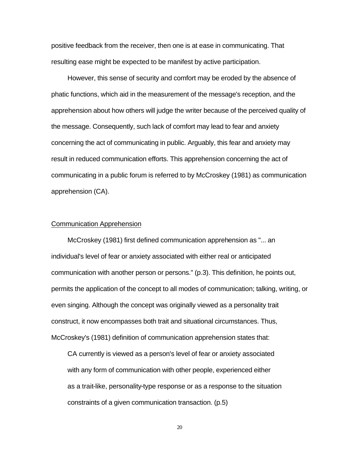positive feedback from the receiver, then one is at ease in communicating. That resulting ease might be expected to be manifest by active participation.

However, this sense of security and comfort may be eroded by the absence of phatic functions, which aid in the measurement of the message's reception, and the apprehension about how others will judge the writer because of the perceived quality of the message. Consequently, such lack of comfort may lead to fear and anxiety concerning the act of communicating in public. Arguably, this fear and anxiety may result in reduced communication efforts. This apprehension concerning the act of communicating in a public forum is referred to by McCroskey (1981) as communication apprehension (CA).

#### Communication Apprehension

McCroskey (1981) first defined communication apprehension as "... an individual's level of fear or anxiety associated with either real or anticipated communication with another person or persons." (p.3). This definition, he points out, permits the application of the concept to all modes of communication; talking, writing, or even singing. Although the concept was originally viewed as a personality trait construct, it now encompasses both trait and situational circumstances. Thus, McCroskey's (1981) definition of communication apprehension states that:

CA currently is viewed as a person's level of fear or anxiety associated with any form of communication with other people, experienced either as a trait-like, personality-type response or as a response to the situation constraints of a given communication transaction. (p.5)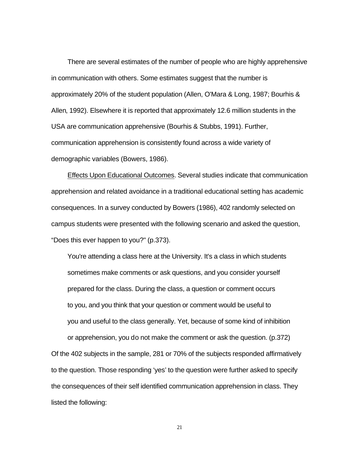There are several estimates of the number of people who are highly apprehensive in communication with others. Some estimates suggest that the number is approximately 20% of the student population (Allen, O'Mara & Long, 1987; Bourhis & Allen, 1992). Elsewhere it is reported that approximately 12.6 million students in the USA are communication apprehensive (Bourhis & Stubbs, 1991). Further, communication apprehension is consistently found across a wide variety of demographic variables (Bowers, 1986).

Effects Upon Educational Outcomes. Several studies indicate that communication apprehension and related avoidance in a traditional educational setting has academic consequences. In a survey conducted by Bowers (1986), 402 randomly selected on campus students were presented with the following scenario and asked the question, "Does this ever happen to you?" (p.373).

You're attending a class here at the University. It's a class in which students sometimes make comments or ask questions, and you consider yourself prepared for the class. During the class, a question or comment occurs to you, and you think that your question or comment would be useful to you and useful to the class generally. Yet, because of some kind of inhibition

or apprehension, you do not make the comment or ask the question. (p.372) Of the 402 subjects in the sample, 281 or 70% of the subjects responded affirmatively to the question. Those responding 'yes' to the question were further asked to specify the consequences of their self identified communication apprehension in class. They listed the following: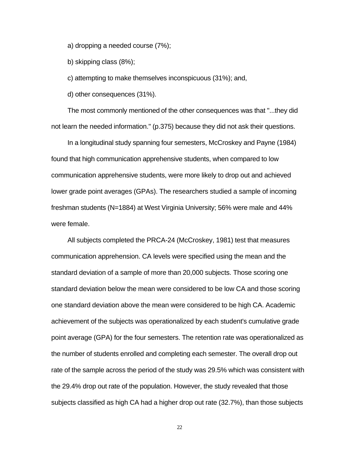a) dropping a needed course (7%);

b) skipping class (8%);

c) attempting to make themselves inconspicuous (31%); and,

d) other consequences (31%).

The most commonly mentioned of the other consequences was that "...they did not learn the needed information." (p.375) because they did not ask their questions.

In a longitudinal study spanning four semesters, McCroskey and Payne (1984) found that high communication apprehensive students, when compared to low communication apprehensive students, were more likely to drop out and achieved lower grade point averages (GPAs). The researchers studied a sample of incoming freshman students (N=1884) at West Virginia University; 56% were male and 44% were female.

All subjects completed the PRCA-24 (McCroskey, 1981) test that measures communication apprehension. CA levels were specified using the mean and the standard deviation of a sample of more than 20,000 subjects. Those scoring one standard deviation below the mean were considered to be low CA and those scoring one standard deviation above the mean were considered to be high CA. Academic achievement of the subjects was operationalized by each student's cumulative grade point average (GPA) for the four semesters. The retention rate was operationalized as the number of students enrolled and completing each semester. The overall drop out rate of the sample across the period of the study was 29.5% which was consistent with the 29.4% drop out rate of the population. However, the study revealed that those subjects classified as high CA had a higher drop out rate (32.7%), than those subjects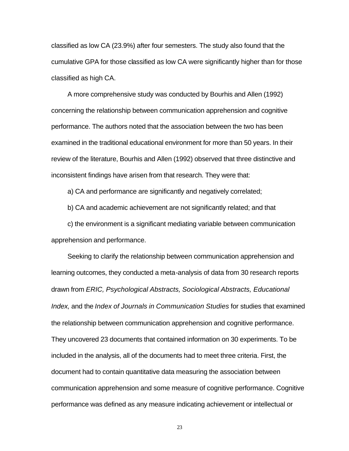classified as low CA (23.9%) after four semesters. The study also found that the cumulative GPA for those classified as low CA were significantly higher than for those classified as high CA.

A more comprehensive study was conducted by Bourhis and Allen (1992) concerning the relationship between communication apprehension and cognitive performance. The authors noted that the association between the two has been examined in the traditional educational environment for more than 50 years. In their review of the literature, Bourhis and Allen (1992) observed that three distinctive and inconsistent findings have arisen from that research. They were that:

a) CA and performance are significantly and negatively correlated;

b) CA and academic achievement are not significantly related; and that

c) the environment is a significant mediating variable between communication apprehension and performance.

Seeking to clarify the relationship between communication apprehension and learning outcomes, they conducted a meta-analysis of data from 30 research reports drawn from *ERIC, Psychological Abstracts, Sociological Abstracts, Educational Index,* and the *Index of Journals in Communication Studies* for studies that examined the relationship between communication apprehension and cognitive performance. They uncovered 23 documents that contained information on 30 experiments. To be included in the analysis, all of the documents had to meet three criteria. First, the document had to contain quantitative data measuring the association between communication apprehension and some measure of cognitive performance. Cognitive performance was defined as any measure indicating achievement or intellectual or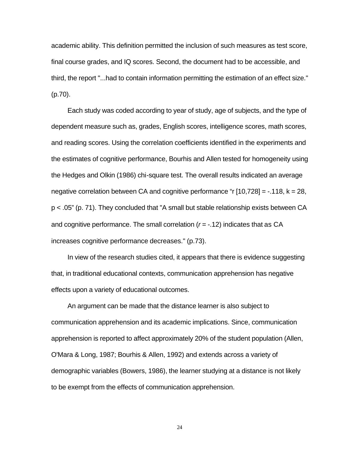academic ability. This definition permitted the inclusion of such measures as test score, final course grades, and IQ scores. Second, the document had to be accessible, and third, the report "...had to contain information permitting the estimation of an effect size." (p.70).

Each study was coded according to year of study, age of subjects, and the type of dependent measure such as, grades, English scores, intelligence scores, math scores, and reading scores. Using the correlation coefficients identified in the experiments and the estimates of cognitive performance, Bourhis and Allen tested for homogeneity using the Hedges and Olkin (1986) chi-square test. The overall results indicated an average negative correlation between CA and cognitive performance "r  $[10,728] = -0.118$ ,  $k = 28$ , p < .05" (p. 71). They concluded that "A small but stable relationship exists between CA and cognitive performance. The small correlation (*r* = -.12) indicates that as CA increases cognitive performance decreases." (p.73).

In view of the research studies cited, it appears that there is evidence suggesting that, in traditional educational contexts, communication apprehension has negative effects upon a variety of educational outcomes.

An argument can be made that the distance learner is also subject to communication apprehension and its academic implications. Since, communication apprehension is reported to affect approximately 20% of the student population (Allen, O'Mara & Long, 1987; Bourhis & Allen, 1992) and extends across a variety of demographic variables (Bowers, 1986), the learner studying at a distance is not likely to be exempt from the effects of communication apprehension.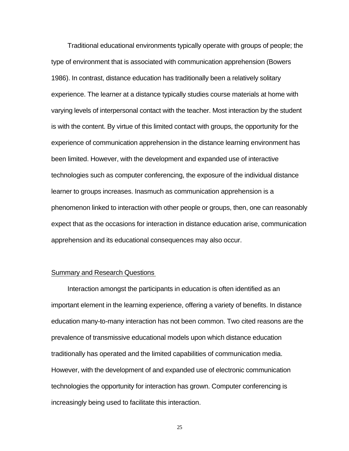Traditional educational environments typically operate with groups of people; the type of environment that is associated with communication apprehension (Bowers 1986). In contrast, distance education has traditionally been a relatively solitary experience. The learner at a distance typically studies course materials at home with varying levels of interpersonal contact with the teacher. Most interaction by the student is with the content. By virtue of this limited contact with groups, the opportunity for the experience of communication apprehension in the distance learning environment has been limited. However, with the development and expanded use of interactive technologies such as computer conferencing, the exposure of the individual distance learner to groups increases. Inasmuch as communication apprehension is a phenomenon linked to interaction with other people or groups, then, one can reasonably expect that as the occasions for interaction in distance education arise, communication apprehension and its educational consequences may also occur.

### Summary and Research Questions

Interaction amongst the participants in education is often identified as an important element in the learning experience, offering a variety of benefits. In distance education many-to-many interaction has not been common. Two cited reasons are the prevalence of transmissive educational models upon which distance education traditionally has operated and the limited capabilities of communication media. However, with the development of and expanded use of electronic communication technologies the opportunity for interaction has grown. Computer conferencing is increasingly being used to facilitate this interaction.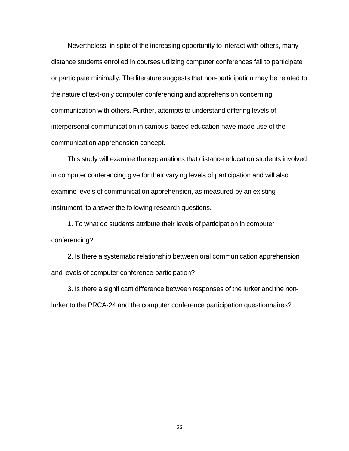Nevertheless, in spite of the increasing opportunity to interact with others, many distance students enrolled in courses utilizing computer conferences fail to participate or participate minimally. The literature suggests that non-participation may be related to the nature of text-only computer conferencing and apprehension concerning communication with others. Further, attempts to understand differing levels of interpersonal communication in campus-based education have made use of the communication apprehension concept.

This study will examine the explanations that distance education students involved in computer conferencing give for their varying levels of participation and will also examine levels of communication apprehension, as measured by an existing instrument, to answer the following research questions.

1. To what do students attribute their levels of participation in computer conferencing?

2. Is there a systematic relationship between oral communication apprehension and levels of computer conference participation?

3. Is there a significant difference between responses of the lurker and the nonlurker to the PRCA-24 and the computer conference participation questionnaires?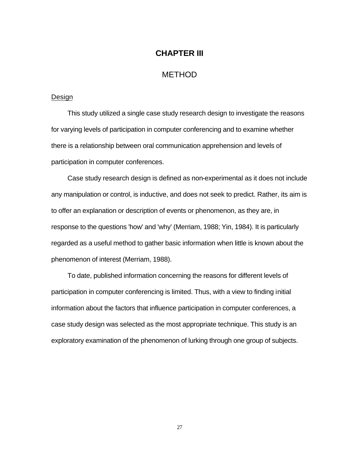### **CHAPTER III**

### METHOD

#### Design

This study utilized a single case study research design to investigate the reasons for varying levels of participation in computer conferencing and to examine whether there is a relationship between oral communication apprehension and levels of participation in computer conferences.

Case study research design is defined as non-experimental as it does not include any manipulation or control, is inductive, and does not seek to predict. Rather, its aim is to offer an explanation or description of events or phenomenon, as they are, in response to the questions 'how' and 'why' (Merriam, 1988; Yin, 1984). It is particularly regarded as a useful method to gather basic information when little is known about the phenomenon of interest (Merriam, 1988).

To date, published information concerning the reasons for different levels of participation in computer conferencing is limited. Thus, with a view to finding initial information about the factors that influence participation in computer conferences, a case study design was selected as the most appropriate technique. This study is an exploratory examination of the phenomenon of lurking through one group of subjects.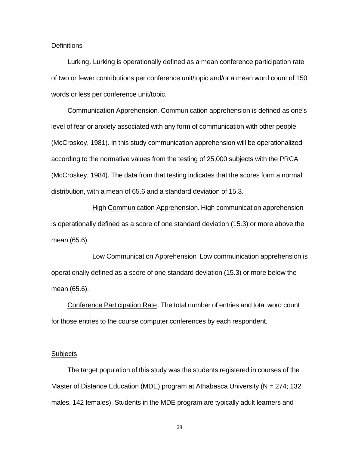#### **Definitions**

Lurking. Lurking is operationally defined as a mean conference participation rate of two or fewer contributions per conference unit/topic and/or a mean word count of 150 words or less per conference unit/topic.

Communication Apprehension. Communication apprehension is defined as one's level of fear or anxiety associated with any form of communication with other people (McCroskey, 1981). In this study communication apprehension will be operationalized according to the normative values from the testing of 25,000 subjects with the PRCA (McCroskey, 1984). The data from that testing indicates that the scores form a normal distribution, with a mean of 65.6 and a standard deviation of 15.3.

High Communication Apprehension. High communication apprehension is operationally defined as a score of one standard deviation (15.3) or more above the mean (65.6).

Low Communication Apprehension. Low communication apprehension is operationally defined as a score of one standard deviation (15.3) or more below the mean (65.6).

Conference Participation Rate. The total number of entries and total word count for those entries to the course computer conferences by each respondent.

#### **Subjects**

The target population of this study was the students registered in courses of the Master of Distance Education (MDE) program at Athabasca University ( $N = 274$ ; 132 males, 142 females). Students in the MDE program are typically adult learners and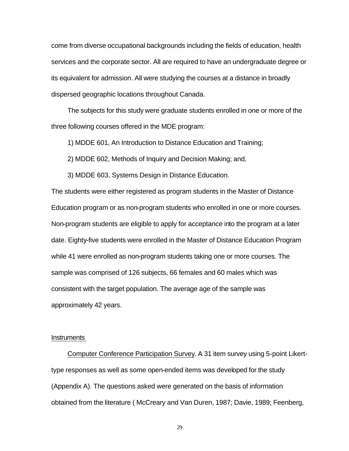come from diverse occupational backgrounds including the fields of education, health services and the corporate sector. All are required to have an undergraduate degree or its equivalent for admission. All were studying the courses at a distance in broadly dispersed geographic locations throughout Canada.

The subjects for this study were graduate students enrolled in one or more of the three following courses offered in the MDE program:

1) MDDE 601, An Introduction to Distance Education and Training;

2) MDDE 602, Methods of Inquiry and Decision Making; and,

3) MDDE 603, Systems Design in Distance Education.

The students were either registered as program students in the Master of Distance Education program or as non-program students who enrolled in one or more courses. Non-program students are eligible to apply for acceptance into the program at a later date. Eighty-five students were enrolled in the Master of Distance Education Program while 41 were enrolled as non-program students taking one or more courses. The sample was comprised of 126 subjects, 66 females and 60 males which was consistent with the target population. The average age of the sample was approximately 42 years.

#### Instruments

Computer Conference Participation Survey. A 31 item survey using 5-point Likerttype responses as well as some open-ended items was developed for the study (Appendix A). The questions asked were generated on the basis of information obtained from the literature ( McCreary and Van Duren, 1987; Davie, 1989; Feenberg,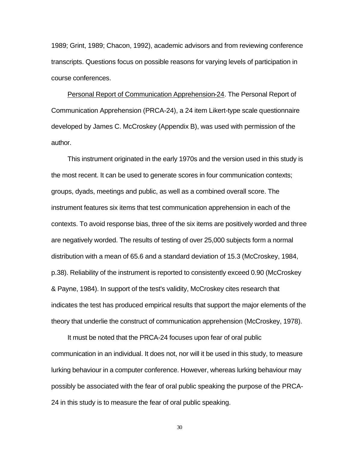1989; Grint, 1989; Chacon, 1992), academic advisors and from reviewing conference transcripts. Questions focus on possible reasons for varying levels of participation in course conferences.

Personal Report of Communication Apprehension-24. The Personal Report of Communication Apprehension (PRCA-24), a 24 item Likert-type scale questionnaire developed by James C. McCroskey (Appendix B), was used with permission of the author.

This instrument originated in the early 1970s and the version used in this study is the most recent. It can be used to generate scores in four communication contexts; groups, dyads, meetings and public, as well as a combined overall score. The instrument features six items that test communication apprehension in each of the contexts. To avoid response bias, three of the six items are positively worded and three are negatively worded. The results of testing of over 25,000 subjects form a normal distribution with a mean of 65.6 and a standard deviation of 15.3 (McCroskey, 1984, p.38). Reliability of the instrument is reported to consistently exceed 0.90 (McCroskey & Payne, 1984). In support of the test's validity, McCroskey cites research that indicates the test has produced empirical results that support the major elements of the theory that underlie the construct of communication apprehension (McCroskey, 1978).

It must be noted that the PRCA-24 focuses upon fear of oral public communication in an individual. It does not, nor will it be used in this study, to measure lurking behaviour in a computer conference. However, whereas lurking behaviour may possibly be associated with the fear of oral public speaking the purpose of the PRCA-24 in this study is to measure the fear of oral public speaking.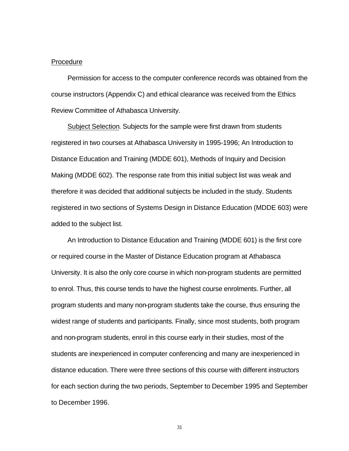#### Procedure

Permission for access to the computer conference records was obtained from the course instructors (Appendix C) and ethical clearance was received from the Ethics Review Committee of Athabasca University.

Subject Selection. Subjects for the sample were first drawn from students registered in two courses at Athabasca University in 1995-1996; An Introduction to Distance Education and Training (MDDE 601), Methods of Inquiry and Decision Making (MDDE 602). The response rate from this initial subject list was weak and therefore it was decided that additional subjects be included in the study. Students registered in two sections of Systems Design in Distance Education (MDDE 603) were added to the subject list.

An Introduction to Distance Education and Training (MDDE 601) is the first core or required course in the Master of Distance Education program at Athabasca University. It is also the only core course in which non-program students are permitted to enrol. Thus, this course tends to have the highest course enrolments. Further, all program students and many non-program students take the course, thus ensuring the widest range of students and participants. Finally, since most students, both program and non-program students, enrol in this course early in their studies, most of the students are inexperienced in computer conferencing and many are inexperienced in distance education. There were three sections of this course with different instructors for each section during the two periods, September to December 1995 and September to December 1996.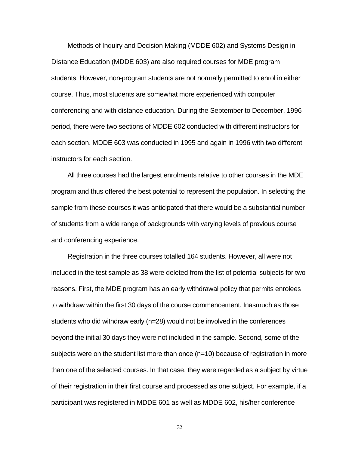Methods of Inquiry and Decision Making (MDDE 602) and Systems Design in Distance Education (MDDE 603) are also required courses for MDE program students. However, non-program students are not normally permitted to enrol in either course. Thus, most students are somewhat more experienced with computer conferencing and with distance education. During the September to December, 1996 period, there were two sections of MDDE 602 conducted with different instructors for each section. MDDE 603 was conducted in 1995 and again in 1996 with two different instructors for each section.

All three courses had the largest enrolments relative to other courses in the MDE program and thus offered the best potential to represent the population. In selecting the sample from these courses it was anticipated that there would be a substantial number of students from a wide range of backgrounds with varying levels of previous course and conferencing experience.

Registration in the three courses totalled 164 students. However, all were not included in the test sample as 38 were deleted from the list of potential subjects for two reasons. First, the MDE program has an early withdrawal policy that permits enrolees to withdraw within the first 30 days of the course commencement. Inasmuch as those students who did withdraw early (n=28) would not be involved in the conferences beyond the initial 30 days they were not included in the sample. Second, some of the subjects were on the student list more than once (n=10) because of registration in more than one of the selected courses. In that case, they were regarded as a subject by virtue of their registration in their first course and processed as one subject. For example, if a participant was registered in MDDE 601 as well as MDDE 602, his/her conference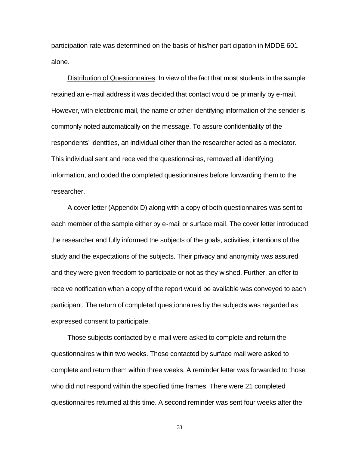participation rate was determined on the basis of his/her participation in MDDE 601 alone.

Distribution of Questionnaires. In view of the fact that most students in the sample retained an e-mail address it was decided that contact would be primarily by e-mail. However, with electronic mail, the name or other identifying information of the sender is commonly noted automatically on the message. To assure confidentiality of the respondents' identities, an individual other than the researcher acted as a mediator. This individual sent and received the questionnaires, removed all identifying information, and coded the completed questionnaires before forwarding them to the researcher.

A cover letter (Appendix D) along with a copy of both questionnaires was sent to each member of the sample either by e-mail or surface mail. The cover letter introduced the researcher and fully informed the subjects of the goals, activities, intentions of the study and the expectations of the subjects. Their privacy and anonymity was assured and they were given freedom to participate or not as they wished. Further, an offer to receive notification when a copy of the report would be available was conveyed to each participant. The return of completed questionnaires by the subjects was regarded as expressed consent to participate.

Those subjects contacted by e-mail were asked to complete and return the questionnaires within two weeks. Those contacted by surface mail were asked to complete and return them within three weeks. A reminder letter was forwarded to those who did not respond within the specified time frames. There were 21 completed questionnaires returned at this time. A second reminder was sent four weeks after the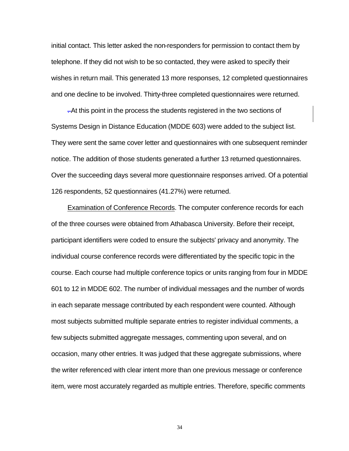initial contact. This letter asked the non-responders for permission to contact them by telephone. If they did not wish to be so contacted, they were asked to specify their wishes in return mail. This generated 13 more responses, 12 completed questionnaires and one decline to be involved. Thirty-three completed questionnaires were returned.

. At this point in the process the students registered in the two sections of Systems Design in Distance Education (MDDE 603) were added to the subject list. They were sent the same cover letter and questionnaires with one subsequent reminder notice. The addition of those students generated a further 13 returned questionnaires. Over the succeeding days several more questionnaire responses arrived. Of a potential 126 respondents, 52 questionnaires (41.27%) were returned.

Examination of Conference Records. The computer conference records for each of the three courses were obtained from Athabasca University. Before their receipt, participant identifiers were coded to ensure the subjects' privacy and anonymity. The individual course conference records were differentiated by the specific topic in the course. Each course had multiple conference topics or units ranging from four in MDDE 601 to 12 in MDDE 602. The number of individual messages and the number of words in each separate message contributed by each respondent were counted. Although most subjects submitted multiple separate entries to register individual comments, a few subjects submitted aggregate messages, commenting upon several, and on occasion, many other entries. It was judged that these aggregate submissions, where the writer referenced with clear intent more than one previous message or conference item, were most accurately regarded as multiple entries. Therefore, specific comments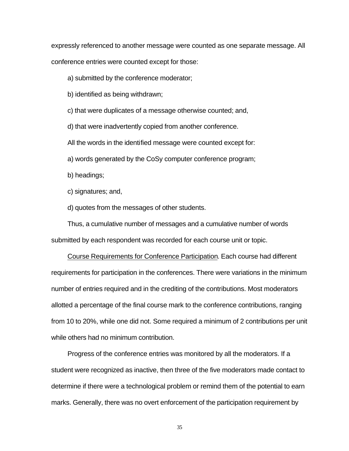expressly referenced to another message were counted as one separate message. All conference entries were counted except for those:

a) submitted by the conference moderator;

b) identified as being withdrawn;

c) that were duplicates of a message otherwise counted; and,

d) that were inadvertently copied from another conference.

All the words in the identified message were counted except for:

a) words generated by the CoSy computer conference program;

b) headings;

c) signatures; and,

d) quotes from the messages of other students.

Thus, a cumulative number of messages and a cumulative number of words submitted by each respondent was recorded for each course unit or topic.

Course Requirements for Conference Participation. Each course had different requirements for participation in the conferences. There were variations in the minimum number of entries required and in the crediting of the contributions. Most moderators allotted a percentage of the final course mark to the conference contributions, ranging from 10 to 20%, while one did not. Some required a minimum of 2 contributions per unit while others had no minimum contribution.

Progress of the conference entries was monitored by all the moderators. If a student were recognized as inactive, then three of the five moderators made contact to determine if there were a technological problem or remind them of the potential to earn marks. Generally, there was no overt enforcement of the participation requirement by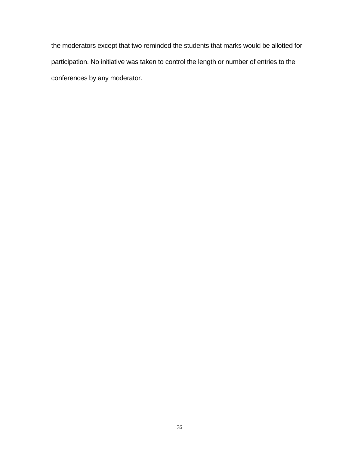the moderators except that two reminded the students that marks would be allotted for participation. No initiative was taken to control the length or number of entries to the conferences by any moderator.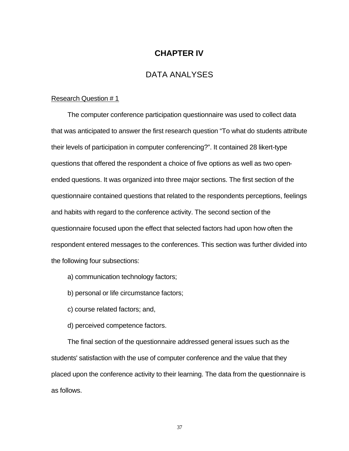## **CHAPTER IV**

### DATA ANALYSES

#### Research Question # 1

The computer conference participation questionnaire was used to collect data that was anticipated to answer the first research question "To what do students attribute their levels of participation in computer conferencing?". It contained 28 likert-type questions that offered the respondent a choice of five options as well as two openended questions. It was organized into three major sections. The first section of the questionnaire contained questions that related to the respondents perceptions, feelings and habits with regard to the conference activity. The second section of the questionnaire focused upon the effect that selected factors had upon how often the respondent entered messages to the conferences. This section was further divided into the following four subsections:

- a) communication technology factors;
- b) personal or life circumstance factors;
- c) course related factors; and,
- d) perceived competence factors.

The final section of the questionnaire addressed general issues such as the students' satisfaction with the use of computer conference and the value that they placed upon the conference activity to their learning. The data from the questionnaire is as follows.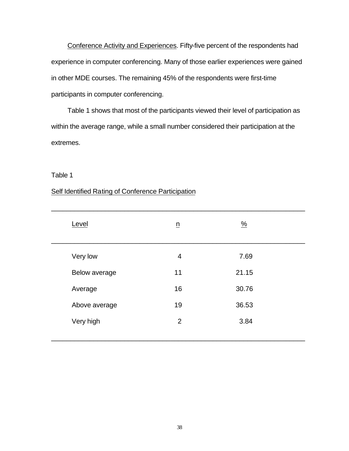Conference Activity and Experiences. Fifty-five percent of the respondents had experience in computer conferencing. Many of those earlier experiences were gained in other MDE courses. The remaining 45% of the respondents were first-time participants in computer conferencing.

Table 1 shows that most of the participants viewed their level of participation as within the average range, while a small number considered their participation at the extremes.

### Table 1

### Self Identified Rating of Conference Participation

| Level         | $\underline{n}$ | $\frac{9}{6}$ |  |
|---------------|-----------------|---------------|--|
| Very low      | $\overline{4}$  | 7.69          |  |
| Below average | 11              | 21.15         |  |
| Average       | 16              | 30.76         |  |
| Above average | 19              | 36.53         |  |
| Very high     | 2               | 3.84          |  |
|               |                 |               |  |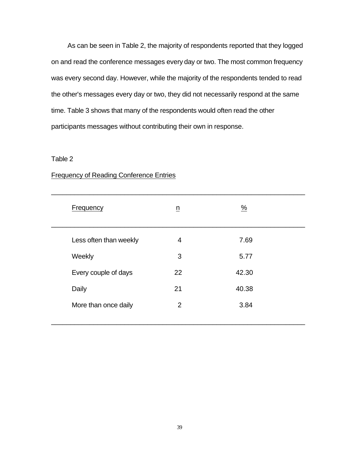As can be seen in Table 2, the majority of respondents reported that they logged on and read the conference messages every day or two. The most common frequency was every second day. However, while the majority of the respondents tended to read the other's messages every day or two, they did not necessarily respond at the same time. Table 3 shows that many of the respondents would often read the other participants messages without contributing their own in response.

### Table 2

| Frequency              | $\underline{n}$ | $\frac{9}{6}$ |  |
|------------------------|-----------------|---------------|--|
| Less often than weekly | 4               | 7.69          |  |
| Weekly                 | 3               | 5.77          |  |
| Every couple of days   | 22              | 42.30         |  |
| Daily                  | 21              | 40.38         |  |
| More than once daily   | 2               | 3.84          |  |
|                        |                 |               |  |

### Frequency of Reading Conference Entries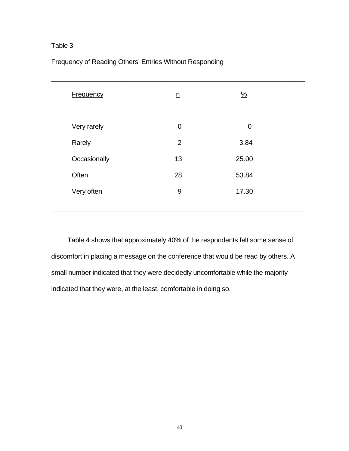| <b>Frequency</b> | $\underline{n}$ | $\frac{9}{6}$ |  |
|------------------|-----------------|---------------|--|
| Very rarely      | $\overline{0}$  | $\mathbf 0$   |  |
| Rarely           | 2               | 3.84          |  |
| Occasionally     | 13              | 25.00         |  |
| Often            | 28              | 53.84         |  |
| Very often       | $9$             | 17.30         |  |
|                  |                 |               |  |

Table 4 shows that approximately 40% of the respondents felt some sense of discomfort in placing a message on the conference that would be read by others. A small number indicated that they were decidedly uncomfortable while the majority indicated that they were, at the least, comfortable in doing so.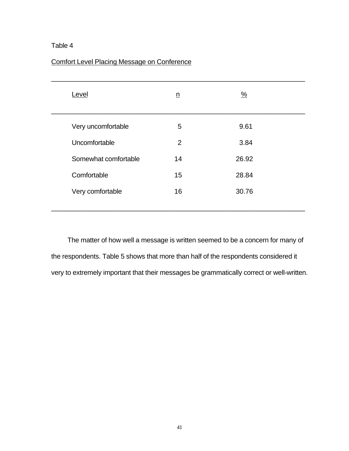## Comfort Level Placing Message on Conference

| Level                | n  | $\frac{0}{2}$ |  |
|----------------------|----|---------------|--|
| Very uncomfortable   | 5  | 9.61          |  |
| Uncomfortable        | 2  | 3.84          |  |
| Somewhat comfortable | 14 | 26.92         |  |
| Comfortable          | 15 | 28.84         |  |
| Very comfortable     | 16 | 30.76         |  |
|                      |    |               |  |

The matter of how well a message is written seemed to be a concern for many of the respondents. Table 5 shows that more than half of the respondents considered it very to extremely important that their messages be grammatically correct or well-written.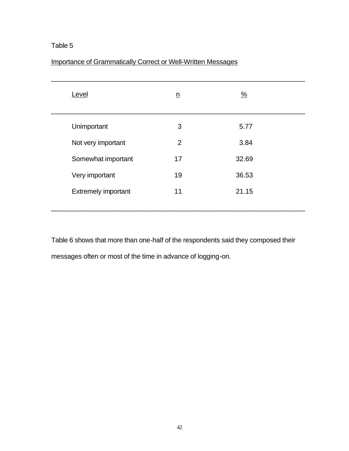| Importance of Grammatically Correct or Well-Written Messages |  |
|--------------------------------------------------------------|--|
|                                                              |  |

| Level                      | $\underline{n}$ | $\frac{9}{6}$ |  |
|----------------------------|-----------------|---------------|--|
| Unimportant                | 3               | 5.77          |  |
| Not very important         | 2               | 3.84          |  |
| Somewhat important         | 17              | 32.69         |  |
| Very important             | 19              | 36.53         |  |
| <b>Extremely important</b> | 11              | 21.15         |  |
|                            |                 |               |  |

Table 6 shows that more than one-half of the respondents said they composed their messages often or most of the time in advance of logging-on.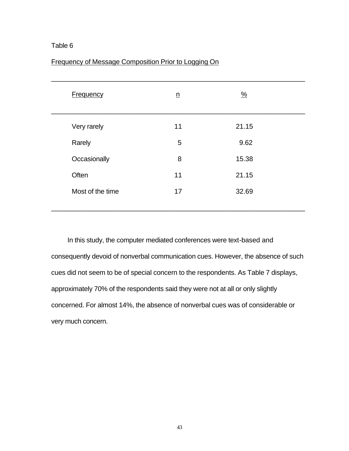### Frequency of Message Composition Prior to Logging On

| <b>Frequency</b> | $\underline{n}$ | $\frac{0}{2}$ |  |
|------------------|-----------------|---------------|--|
| Very rarely      | 11              | 21.15         |  |
| Rarely           | 5               | 9.62          |  |
| Occasionally     | 8               | 15.38         |  |
| Often            | 11              | 21.15         |  |
| Most of the time | 17              | 32.69         |  |
|                  |                 |               |  |

In this study, the computer mediated conferences were text-based and consequently devoid of nonverbal communication cues. However, the absence of such cues did not seem to be of special concern to the respondents. As Table 7 displays, approximately 70% of the respondents said they were not at all or only slightly concerned. For almost 14%, the absence of nonverbal cues was of considerable or very much concern.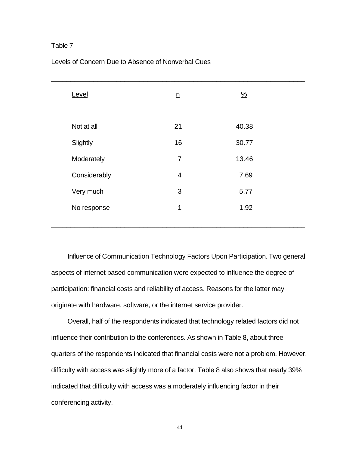| Level        | $\underline{n}$ | $\frac{9}{6}$ |  |
|--------------|-----------------|---------------|--|
| Not at all   | 21              | 40.38         |  |
| Slightly     | 16              | 30.77         |  |
| Moderately   | $\overline{7}$  | 13.46         |  |
| Considerably | $\overline{4}$  | 7.69          |  |
| Very much    | 3               | 5.77          |  |
| No response  | $\mathbf 1$     | 1.92          |  |
|              |                 |               |  |

#### Levels of Concern Due to Absence of Nonverbal Cues

Influence of Communication Technology Factors Upon Participation. Two general aspects of internet based communication were expected to influence the degree of participation: financial costs and reliability of access. Reasons for the latter may originate with hardware, software, or the internet service provider.

Overall, half of the respondents indicated that technology related factors did not influence their contribution to the conferences. As shown in Table 8, about threequarters of the respondents indicated that financial costs were not a problem. However, difficulty with access was slightly more of a factor. Table 8 also shows that nearly 39% indicated that difficulty with access was a moderately influencing factor in their conferencing activity.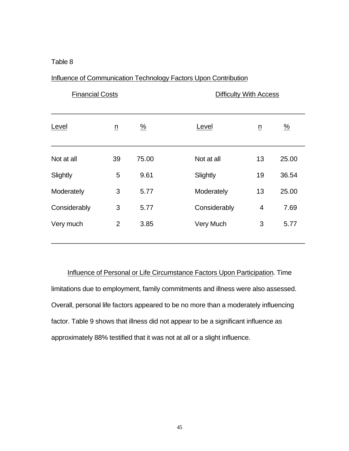## Influence of Communication Technology Factors Upon Contribution

| <b>Financial Costs</b> |                 |               | <b>Difficulty With Access</b> |                 |               |
|------------------------|-----------------|---------------|-------------------------------|-----------------|---------------|
| Level                  | $\underline{n}$ | $\frac{9}{6}$ | Level                         | $\underline{n}$ | $\frac{9}{6}$ |
| Not at all             | 39              | 75.00         | Not at all                    | 13              | 25.00         |
| Slightly               | 5               | 9.61          | Slightly                      | 19              | 36.54         |
| Moderately             | 3               | 5.77          | Moderately                    | 13              | 25.00         |
| Considerably           | 3               | 5.77          | Considerably                  | 4               | 7.69          |
| Very much              | $\overline{2}$  | 3.85          | Very Much                     | 3               | 5.77          |
|                        |                 |               |                               |                 |               |

Influence of Personal or Life Circumstance Factors Upon Participation. Time limitations due to employment, family commitments and illness were also assessed. Overall, personal life factors appeared to be no more than a moderately influencing factor. Table 9 shows that illness did not appear to be a significant influence as approximately 88% testified that it was not at all or a slight influence.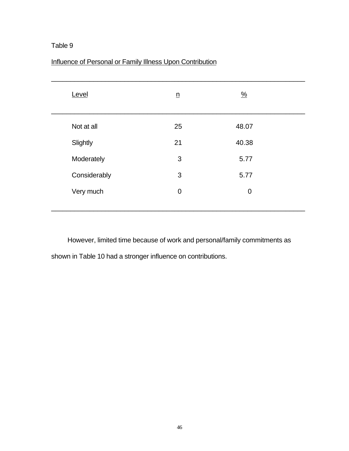| Level        | $\underline{n}$ | $\frac{0}{2}$ |  |
|--------------|-----------------|---------------|--|
| Not at all   | 25              | 48.07         |  |
| Slightly     | 21              | 40.38         |  |
| Moderately   | 3               | 5.77          |  |
| Considerably | 3               | 5.77          |  |
| Very much    | $\mathbf 0$     | $\mathbf 0$   |  |
|              |                 |               |  |

# Influence of Personal or Family Illness Upon Contribution

However, limited time because of work and personal/family commitments as shown in Table 10 had a stronger influence on contributions.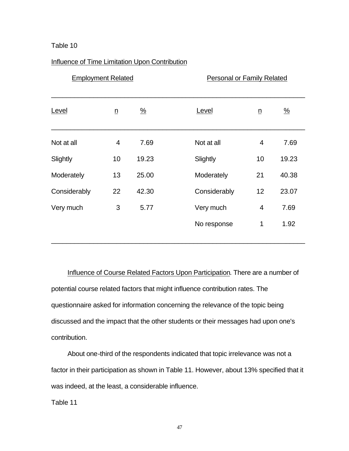### Influence of Time Limitation Upon Contribution

| <b>Employment Related</b> |                 |               | <b>Personal or Family Related</b> |                 |               |
|---------------------------|-----------------|---------------|-----------------------------------|-----------------|---------------|
| Level                     | $\underline{n}$ | $\frac{0}{2}$ | Level                             | $\underline{n}$ | $\frac{0}{2}$ |
| Not at all                | 4               | 7.69          | Not at all                        | 4               | 7.69          |
| Slightly                  | 10              | 19.23         | Slightly                          | 10              | 19.23         |
| Moderately                | 13              | 25.00         | Moderately                        | 21              | 40.38         |
| Considerably              | 22              | 42.30         | Considerably                      | 12              | 23.07         |
| Very much                 | 3               | 5.77          | Very much                         | 4               | 7.69          |
|                           |                 |               | No response                       | $\mathbf{1}$    | 1.92          |

Influence of Course Related Factors Upon Participation. There are a number of potential course related factors that might influence contribution rates. The questionnaire asked for information concerning the relevance of the topic being discussed and the impact that the other students or their messages had upon one's contribution.

About one-third of the respondents indicated that topic irrelevance was not a factor in their participation as shown in Table 11. However, about 13% specified that it was indeed, at the least, a considerable influence.

Table 11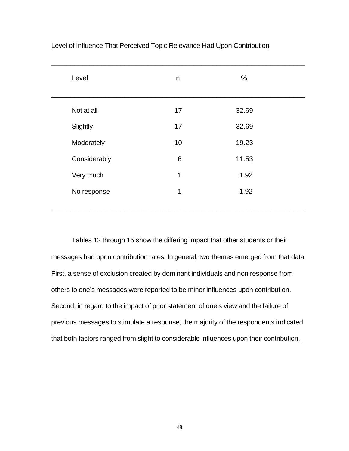| Level        | $\underline{n}$ | $\frac{0}{2}$ |  |
|--------------|-----------------|---------------|--|
| Not at all   | 17              | 32.69         |  |
| Slightly     | 17              | 32.69         |  |
| Moderately   | 10              | 19.23         |  |
| Considerably | 6               | 11.53         |  |
| Very much    | 1               | 1.92          |  |
| No response  | 1               | 1.92          |  |
|              |                 |               |  |

Level of Influence That Perceived Topic Relevance Had Upon Contribution

Tables 12 through 15 show the differing impact that other students or their messages had upon contribution rates*.* In general, two themes emerged from that data. First, a sense of exclusion created by dominant individuals and non-response from others to one's messages were reported to be minor influences upon contribution. Second, in regard to the impact of prior statement of one's view and the failure of previous messages to stimulate a response, the majority of the respondents indicated that both factors ranged from slight to considerable influences upon their contribution.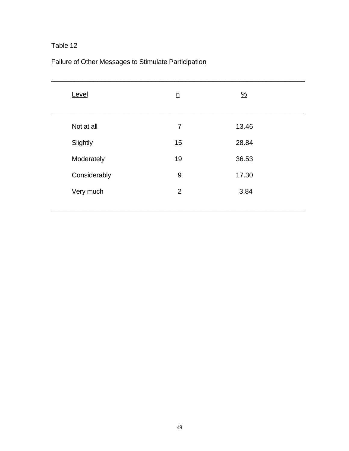## Failure of Other Messages to Stimulate Participation

| Level        | $\underline{n}$ | $\frac{0}{2}$ |  |
|--------------|-----------------|---------------|--|
| Not at all   | $\overline{7}$  | 13.46         |  |
| Slightly     | 15              | 28.84         |  |
| Moderately   | 19              | 36.53         |  |
| Considerably | 9               | 17.30         |  |
| Very much    | 2               | 3.84          |  |
|              |                 |               |  |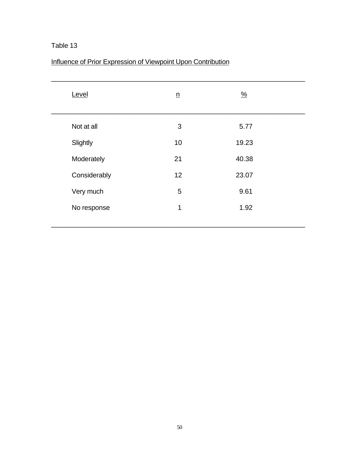# Influence of Prior Expression of Viewpoint Upon Contribution

| Level        | $\underline{n}$ | $\frac{9}{6}$ |  |
|--------------|-----------------|---------------|--|
| Not at all   | 3               | 5.77          |  |
| Slightly     | 10              | 19.23         |  |
| Moderately   | 21              | 40.38         |  |
| Considerably | 12              | 23.07         |  |
| Very much    | 5               | 9.61          |  |
| No response  | 1               | 1.92          |  |
|              |                 |               |  |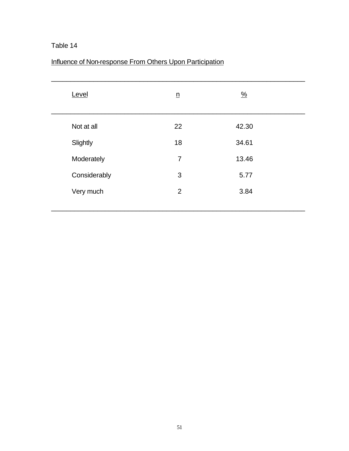# Influence of Non-response From Others Upon Participation

| Level        | $\underline{n}$ | $\frac{9}{6}$ |  |
|--------------|-----------------|---------------|--|
| Not at all   | 22              | 42.30         |  |
| Slightly     | 18              | 34.61         |  |
| Moderately   | $\overline{7}$  | 13.46         |  |
| Considerably | 3               | 5.77          |  |
| Very much    | 2               | 3.84          |  |
|              |                 |               |  |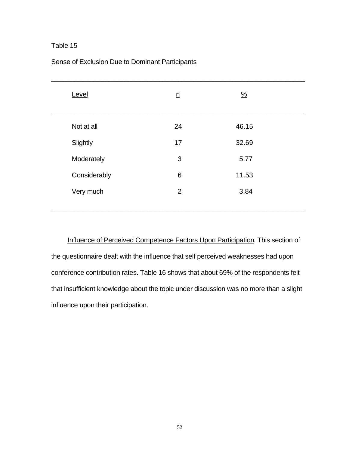| Level        | $\underline{n}$ | $\frac{0}{2}$ |  |
|--------------|-----------------|---------------|--|
| Not at all   | 24              | 46.15         |  |
| Slightly     | 17              | 32.69         |  |
| Moderately   | 3               | 5.77          |  |
| Considerably | 6               | 11.53         |  |
| Very much    | 2               | 3.84          |  |
|              |                 |               |  |

### Sense of Exclusion Due to Dominant Participants

Influence of Perceived Competence Factors Upon Participation. This section of the questionnaire dealt with the influence that self perceived weaknesses had upon conference contribution rates. Table 16 shows that about 69% of the respondents felt that insufficient knowledge about the topic under discussion was no more than a slight influence upon their participation.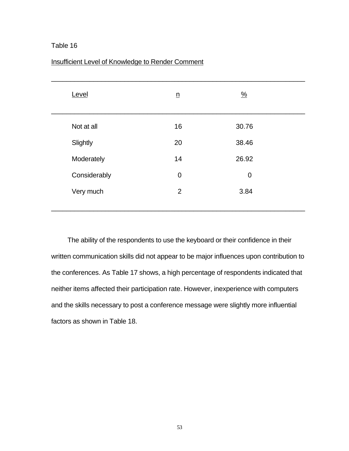| Level        | $\underline{n}$ | $\frac{0}{2}$ |  |
|--------------|-----------------|---------------|--|
| Not at all   | 16              | 30.76         |  |
| Slightly     | 20              | 38.46         |  |
| Moderately   | 14              | 26.92         |  |
| Considerably | $\overline{0}$  | $\mathbf 0$   |  |
| Very much    | 2               | 3.84          |  |
|              |                 |               |  |

### Insufficient Level of Knowledge to Render Comment

The ability of the respondents to use the keyboard or their confidence in their written communication skills did not appear to be major influences upon contribution to the conferences. As Table 17 shows, a high percentage of respondents indicated that neither items affected their participation rate. However, inexperience with computers and the skills necessary to post a conference message were slightly more influential factors as shown in Table 18.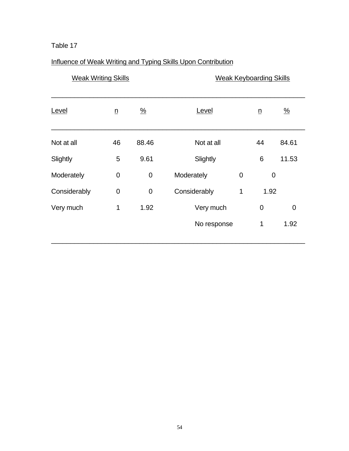# Influence of Weak Writing and Typing Skills Upon Contribution

| <b>Weak Writing Skills</b> |                 |                | <b>Weak Keyboarding Skills</b> |                |                 |                |
|----------------------------|-----------------|----------------|--------------------------------|----------------|-----------------|----------------|
| Level                      | $\underline{n}$ | $\frac{9}{6}$  | Level                          |                | $\underline{n}$ | $\frac{9}{6}$  |
| Not at all                 | 46              | 88.46          | Not at all                     |                | 44              | 84.61          |
| Slightly                   | 5               | 9.61           | Slightly                       |                | 6               | 11.53          |
| Moderately                 | $\overline{0}$  | $\overline{0}$ | Moderately                     | $\overline{0}$ |                 | $\overline{0}$ |
| Considerably               | $\overline{0}$  | $\mathbf 0$    | Considerably                   | $\mathbf 1$    | 1.92            |                |
| Very much                  | 1               | 1.92           | Very much                      |                | $\overline{0}$  | $\overline{0}$ |
|                            |                 |                | No response                    |                | 1               | 1.92           |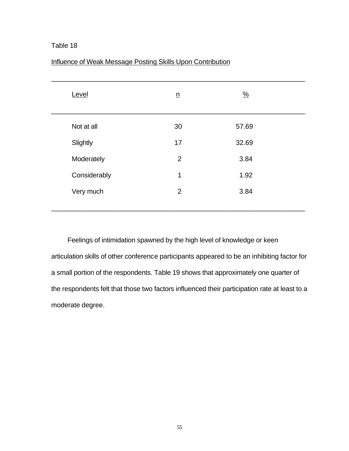| Level        | $\underline{n}$ | $\frac{0}{2}$ |  |
|--------------|-----------------|---------------|--|
| Not at all   | 30              | 57.69         |  |
| Slightly     | 17              | 32.69         |  |
| Moderately   | $\overline{2}$  | 3.84          |  |
| Considerably | 1               | 1.92          |  |
| Very much    | $\overline{2}$  | 3.84          |  |
|              |                 |               |  |

# Influence of Weak Message Posting Skills Upon Contribution

Feelings of intimidation spawned by the high level of knowledge or keen articulation skills of other conference participants appeared to be an inhibiting factor for a small portion of the respondents. Table 19 shows that approximately one quarter of the respondents felt that those two factors influenced their participation rate at least to a moderate degree.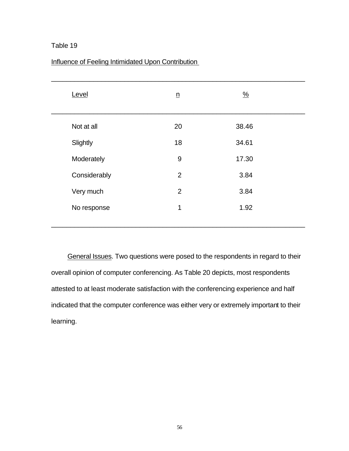| Level        | $\underline{n}$ | $\frac{9}{6}$ |  |
|--------------|-----------------|---------------|--|
| Not at all   | 20              | 38.46         |  |
| Slightly     | 18              | 34.61         |  |
| Moderately   | 9               | 17.30         |  |
| Considerably | 2               | 3.84          |  |
| Very much    | 2               | 3.84          |  |
| No response  | 1               | 1.92          |  |
|              |                 |               |  |

### Influence of Feeling Intimidated Upon Contribution

General Issues. Two questions were posed to the respondents in regard to their overall opinion of computer conferencing. As Table 20 depicts, most respondents attested to at least moderate satisfaction with the conferencing experience and half indicated that the computer conference was either very or extremely important to their learning.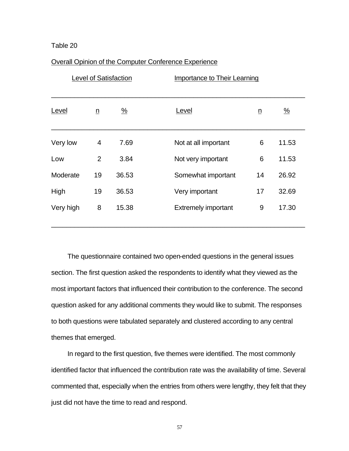#### Overall Opinion of the Computer Conference Experience

|           |                 | <b>Level of Satisfaction</b> | Importance to Their Learning |                 |               |
|-----------|-----------------|------------------------------|------------------------------|-----------------|---------------|
| Level     | $\underline{n}$ | $\frac{\%}{\sqrt{2}}$        | Level                        | $\underline{n}$ | $\frac{9}{6}$ |
| Very low  | 4               | 7.69                         | Not at all important         | 6               | 11.53         |
| Low       | $\overline{2}$  | 3.84                         | Not very important           | 6               | 11.53         |
| Moderate  | 19              | 36.53                        | Somewhat important           | 14              | 26.92         |
| High      | 19              | 36.53                        | Very important               | 17              | 32.69         |
| Very high | 8               | 15.38                        | <b>Extremely important</b>   | 9               | 17.30         |

The questionnaire contained two open-ended questions in the general issues section. The first question asked the respondents to identify what they viewed as the most important factors that influenced their contribution to the conference. The second question asked for any additional comments they would like to submit. The responses to both questions were tabulated separately and clustered according to any central themes that emerged.

In regard to the first question, five themes were identified. The most commonly identified factor that influenced the contribution rate was the availability of time. Several commented that, especially when the entries from others were lengthy, they felt that they just did not have the time to read and respond.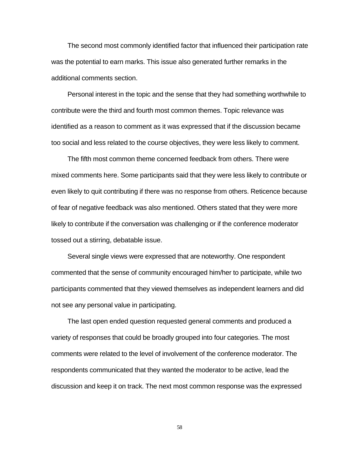The second most commonly identified factor that influenced their participation rate was the potential to earn marks. This issue also generated further remarks in the additional comments section.

Personal interest in the topic and the sense that they had something worthwhile to contribute were the third and fourth most common themes. Topic relevance was identified as a reason to comment as it was expressed that if the discussion became too social and less related to the course objectives, they were less likely to comment.

The fifth most common theme concerned feedback from others. There were mixed comments here. Some participants said that they were less likely to contribute or even likely to quit contributing if there was no response from others. Reticence because of fear of negative feedback was also mentioned. Others stated that they were more likely to contribute if the conversation was challenging or if the conference moderator tossed out a stirring, debatable issue.

Several single views were expressed that are noteworthy. One respondent commented that the sense of community encouraged him/her to participate, while two participants commented that they viewed themselves as independent learners and did not see any personal value in participating.

The last open ended question requested general comments and produced a variety of responses that could be broadly grouped into four categories. The most comments were related to the level of involvement of the conference moderator. The respondents communicated that they wanted the moderator to be active, lead the discussion and keep it on track. The next most common response was the expressed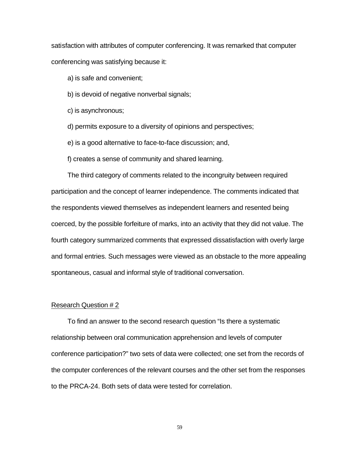satisfaction with attributes of computer conferencing. It was remarked that computer conferencing was satisfying because it:

a) is safe and convenient;

b) is devoid of negative nonverbal signals;

c) is asynchronous;

d) permits exposure to a diversity of opinions and perspectives;

e) is a good alternative to face-to-face discussion; and,

f) creates a sense of community and shared learning.

The third category of comments related to the incongruity between required participation and the concept of learner independence. The comments indicated that the respondents viewed themselves as independent learners and resented being coerced, by the possible forfeiture of marks, into an activity that they did not value. The fourth category summarized comments that expressed dissatisfaction with overly large and formal entries. Such messages were viewed as an obstacle to the more appealing spontaneous, casual and informal style of traditional conversation.

#### Research Question # 2

To find an answer to the second research question "Is there a systematic relationship between oral communication apprehension and levels of computer conference participation?" two sets of data were collected; one set from the records of the computer conferences of the relevant courses and the other set from the responses to the PRCA-24. Both sets of data were tested for correlation.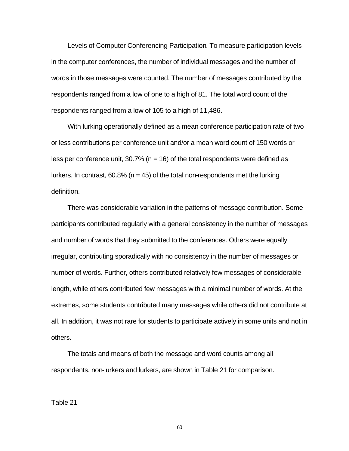Levels of Computer Conferencing Participation. To measure participation levels in the computer conferences, the number of individual messages and the number of words in those messages were counted. The number of messages contributed by the respondents ranged from a low of one to a high of 81. The total word count of the respondents ranged from a low of 105 to a high of 11,486.

With lurking operationally defined as a mean conference participation rate of two or less contributions per conference unit and/or a mean word count of 150 words or less per conference unit, 30.7% ( $n = 16$ ) of the total respondents were defined as lurkers. In contrast,  $60.8\%$  (n = 45) of the total non-respondents met the lurking definition.

There was considerable variation in the patterns of message contribution. Some participants contributed regularly with a general consistency in the number of messages and number of words that they submitted to the conferences. Others were equally irregular, contributing sporadically with no consistency in the number of messages or number of words. Further, others contributed relatively few messages of considerable length, while others contributed few messages with a minimal number of words. At the extremes, some students contributed many messages while others did not contribute at all. In addition, it was not rare for students to participate actively in some units and not in others.

The totals and means of both the message and word counts among all respondents, non-lurkers and lurkers, are shown in Table 21 for comparison.

Table 21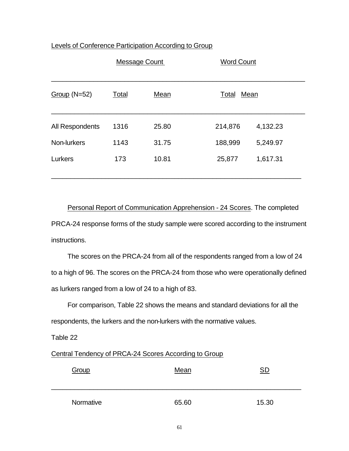| Levels of Conference Participation According to Group |
|-------------------------------------------------------|
|-------------------------------------------------------|

|                 | Message Count |       | <b>Word Count</b> |          |  |
|-----------------|---------------|-------|-------------------|----------|--|
| Group $(N=52)$  | Total         | Mean  | Mean<br>Total     |          |  |
| All Respondents | 1316          | 25.80 | 214,876           | 4,132.23 |  |
| Non-lurkers     | 1143          | 31.75 | 188,999           | 5,249.97 |  |
| Lurkers         | 173           | 10.81 | 25,877            | 1,617.31 |  |

Personal Report of Communication Apprehension - 24 Scores. The completed PRCA-24 response forms of the study sample were scored according to the instrument instructions.

The scores on the PRCA-24 from all of the respondents ranged from a low of 24 to a high of 96. The scores on the PRCA-24 from those who were operationally defined as lurkers ranged from a low of 24 to a high of 83.

For comparison, Table 22 shows the means and standard deviations for all the respondents, the lurkers and the non-lurkers with the normative values.

Table 22

## Central Tendency of PRCA-24 Scores According to Group

| Group     | Mean  | SD    |
|-----------|-------|-------|
| Normative | 65.60 | 15.30 |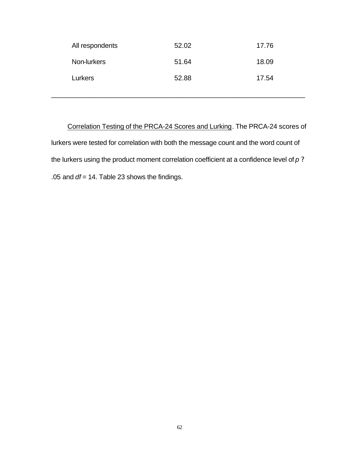| All respondents | 52.02 | 17.76 |
|-----------------|-------|-------|
| Non-lurkers     | 51.64 | 18.09 |
| Lurkers         | 52.88 | 17.54 |

\_\_\_\_\_\_\_\_\_\_\_\_\_\_\_\_\_\_\_\_\_\_\_\_\_\_\_\_\_\_\_\_\_\_\_\_\_\_\_\_\_\_\_\_\_\_\_\_\_\_\_\_\_\_\_\_\_\_\_\_\_\_\_\_\_\_

Correlation Testing of the PRCA-24 Scores and Lurking. The PRCA-24 scores of lurkers were tested for correlation with both the message count and the word count of the lurkers using the product moment correlation coefficient at a confidence level of *p* ? .05 and *df* = 14. Table 23 shows the findings.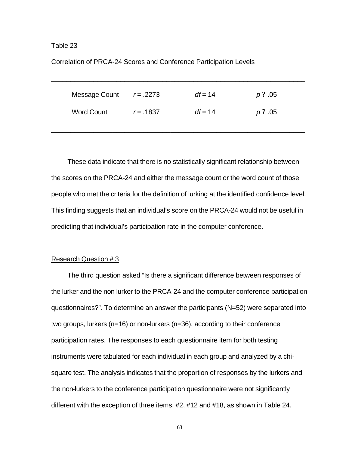#### Correlation of PRCA-24 Scores and Conference Participation Levels

| Message Count     | $r = .2273$ | $df = 14$ | $p$ ? .05 |
|-------------------|-------------|-----------|-----------|
| <b>Word Count</b> | $r = .1837$ | $df = 14$ | $p$ ? .05 |

\_\_\_\_\_\_\_\_\_\_\_\_\_\_\_\_\_\_\_\_\_\_\_\_\_\_\_\_\_\_\_\_\_\_\_\_\_\_\_\_\_\_\_\_\_\_\_\_\_\_\_\_\_\_\_\_\_\_\_\_\_\_\_\_\_\_

These data indicate that there is no statistically significant relationship between the scores on the PRCA-24 and either the message count or the word count of those people who met the criteria for the definition of lurking at the identified confidence level. This finding suggests that an individual's score on the PRCA-24 would not be useful in predicting that individual's participation rate in the computer conference.

#### Research Question # 3

The third question asked "Is there a significant difference between responses of the lurker and the non-lurker to the PRCA-24 and the computer conference participation questionnaires?". To determine an answer the participants (N=52) were separated into two groups, lurkers (n=16) or non-lurkers (n=36), according to their conference participation rates. The responses to each questionnaire item for both testing instruments were tabulated for each individual in each group and analyzed by a chisquare test. The analysis indicates that the proportion of responses by the lurkers and the non-lurkers to the conference participation questionnaire were not significantly different with the exception of three items, #2, #12 and #18, as shown in Table 24.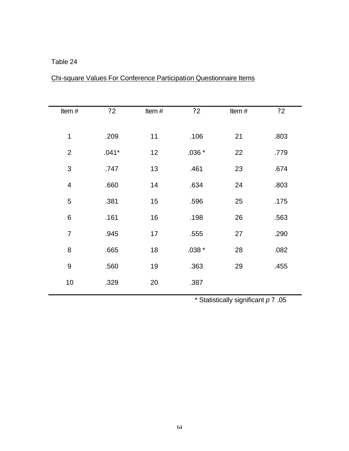## Table 24

| Item $#$         | 22      | Item# | 22      | Item# | 22   |
|------------------|---------|-------|---------|-------|------|
|                  |         |       |         |       |      |
| $\mathbf 1$      | .209    | 11    | .106    | 21    | .803 |
| $\overline{2}$   | $.041*$ | 12    | $.036*$ | 22    | .779 |
| 3                | .747    | 13    | .461    | 23    | .674 |
| $\overline{4}$   | .660    | 14    | .634    | 24    | .803 |
| $\sqrt{5}$       | .381    | 15    | .596    | 25    | .175 |
| $\,6$            | .161    | 16    | .198    | 26    | .563 |
| $\overline{7}$   | .945    | 17    | .555    | 27    | .290 |
| 8                | .665    | 18    | $.038*$ | 28    | .082 |
| $\boldsymbol{9}$ | .560    | 19    | .363    | 29    | .455 |
| 10               | .329    | 20    | .387    |       |      |

# Chi-square Values For Conference Participation Questionnaire Items

\* Statistically significant *p* ? .05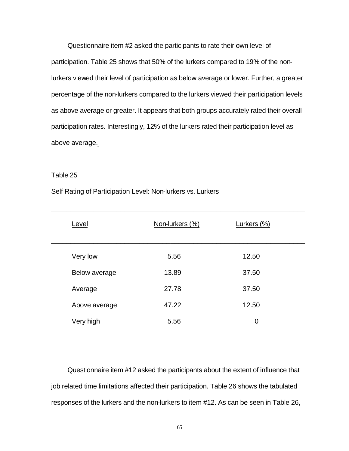Questionnaire item #2 asked the participants to rate their own level of participation. Table 25 shows that 50% of the lurkers compared to 19% of the nonlurkers viewed their level of participation as below average or lower. Further, a greater percentage of the non-lurkers compared to the lurkers viewed their participation levels as above average or greater. It appears that both groups accurately rated their overall participation rates. Interestingly, 12% of the lurkers rated their participation level as above average.

#### Table 25

#### Self Rating of Participation Level: Non-lurkers vs. Lurkers

| Level         | Non-lurkers (%) | Lurkers (%)    |  |
|---------------|-----------------|----------------|--|
| Very low      | 5.56            | 12.50          |  |
| Below average | 13.89           | 37.50          |  |
| Average       | 27.78           | 37.50          |  |
| Above average | 47.22           | 12.50          |  |
| Very high     | 5.56            | $\overline{0}$ |  |
|               |                 |                |  |

Questionnaire item #12 asked the participants about the extent of influence that job related time limitations affected their participation. Table 26 shows the tabulated responses of the lurkers and the non-lurkers to item #12. As can be seen in Table 26,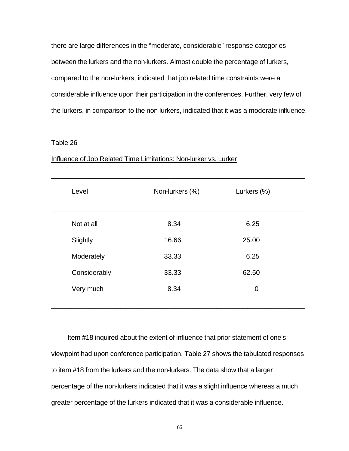there are large differences in the "moderate, considerable" response categories between the lurkers and the non-lurkers. Almost double the percentage of lurkers, compared to the non-lurkers, indicated that job related time constraints were a considerable influence upon their participation in the conferences. Further, very few of the lurkers, in comparison to the non-lurkers, indicated that it was a moderate influence.

#### Table 26

| Level        | Non-lurkers (%) | Lurkers (%) |
|--------------|-----------------|-------------|
| Not at all   | 8.34            | 6.25        |
| Slightly     | 16.66           | 25.00       |
| Moderately   | 33.33           | 6.25        |
| Considerably | 33.33           | 62.50       |
| Very much    | 8.34            | $\mathbf 0$ |
|              |                 |             |

#### Influence of Job Related Time Limitations: Non-lurker vs. Lurker

Item #18 inquired about the extent of influence that prior statement of one's viewpoint had upon conference participation. Table 27 shows the tabulated responses to item #18 from the lurkers and the non-lurkers. The data show that a larger percentage of the non-lurkers indicated that it was a slight influence whereas a much greater percentage of the lurkers indicated that it was a considerable influence.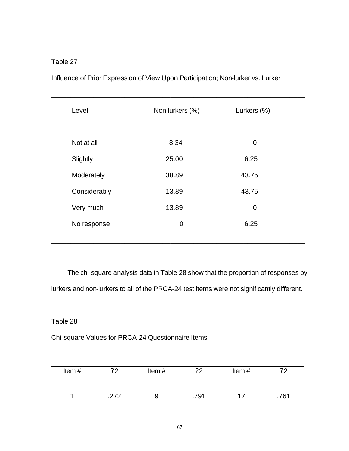## Table 27

| Level        | Non-lurkers (%) | Lurkers (%) |  |
|--------------|-----------------|-------------|--|
| Not at all   | 8.34            | 0           |  |
| Slightly     | 25.00           | 6.25        |  |
| Moderately   | 38.89           | 43.75       |  |
| Considerably | 13.89           | 43.75       |  |
| Very much    | 13.89           | $\mathbf 0$ |  |
| No response  | $\mathbf 0$     | 6.25        |  |
|              |                 |             |  |

## Influence of Prior Expression of View Upon Participation; Non-lurker vs. Lurker

The chi-square analysis data in Table 28 show that the proportion of responses by lurkers and non-lurkers to all of the PRCA-24 test items were not significantly different.

### Table 28

## Chi-square Values for PRCA-24 Questionnaire Items

| Item# | 22   | Item $#$ | ?2   | Item# | ??   |
|-------|------|----------|------|-------|------|
|       | .272 | 9        | .791 | 17    | .761 |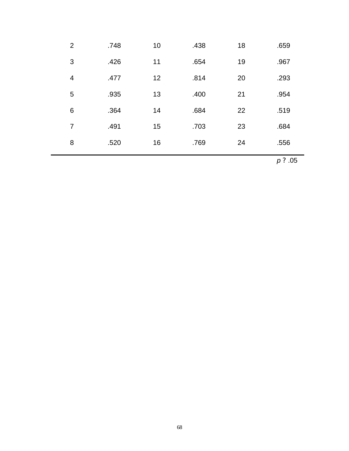| $\overline{2}$ | .748 | 10 | .438 | 18 | .659 |
|----------------|------|----|------|----|------|
| 3              | .426 | 11 | .654 | 19 | .967 |
| 4              | .477 | 12 | .814 | 20 | .293 |
| 5              | .935 | 13 | .400 | 21 | .954 |
| 6              | .364 | 14 | .684 | 22 | .519 |
| 7              | .491 | 15 | .703 | 23 | .684 |
| 8              | .520 | 16 | .769 | 24 | .556 |

*p* ? .05

Ξ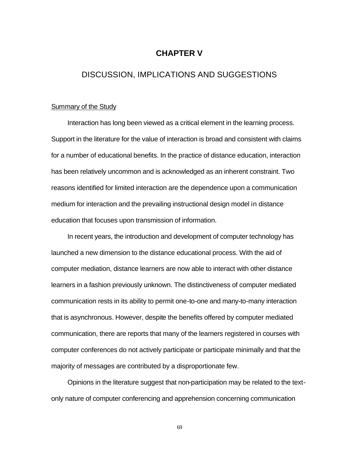## **CHAPTER V**

## DISCUSSION, IMPLICATIONS AND SUGGESTIONS

#### Summary of the Study

Interaction has long been viewed as a critical element in the learning process. Support in the literature for the value of interaction is broad and consistent with claims for a number of educational benefits. In the practice of distance education, interaction has been relatively uncommon and is acknowledged as an inherent constraint. Two reasons identified for limited interaction are the dependence upon a communication medium for interaction and the prevailing instructional design model in distance education that focuses upon transmission of information.

In recent years, the introduction and development of computer technology has launched a new dimension to the distance educational process. With the aid of computer mediation, distance learners are now able to interact with other distance learners in a fashion previously unknown. The distinctiveness of computer mediated communication rests in its ability to permit one-to-one and many-to-many interaction that is asynchronous. However, despite the benefits offered by computer mediated communication, there are reports that many of the learners registered in courses with computer conferences do not actively participate or participate minimally and that the majority of messages are contributed by a disproportionate few.

Opinions in the literature suggest that non-participation may be related to the textonly nature of computer conferencing and apprehension concerning communication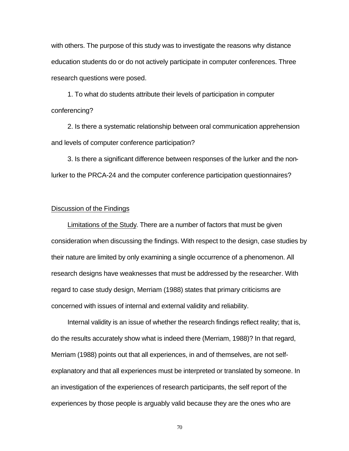with others. The purpose of this study was to investigate the reasons why distance education students do or do not actively participate in computer conferences. Three research questions were posed.

1. To what do students attribute their levels of participation in computer conferencing?

2. Is there a systematic relationship between oral communication apprehension and levels of computer conference participation?

3. Is there a significant difference between responses of the lurker and the nonlurker to the PRCA-24 and the computer conference participation questionnaires?

#### Discussion of the Findings

Limitations of the Study. There are a number of factors that must be given consideration when discussing the findings. With respect to the design, case studies by their nature are limited by only examining a single occurrence of a phenomenon. All research designs have weaknesses that must be addressed by the researcher. With regard to case study design, Merriam (1988) states that primary criticisms are concerned with issues of internal and external validity and reliability.

Internal validity is an issue of whether the research findings reflect reality; that is, do the results accurately show what is indeed there (Merriam, 1988)? In that regard, Merriam (1988) points out that all experiences, in and of themselves, are not selfexplanatory and that all experiences must be interpreted or translated by someone. In an investigation of the experiences of research participants, the self report of the experiences by those people is arguably valid because they are the ones who are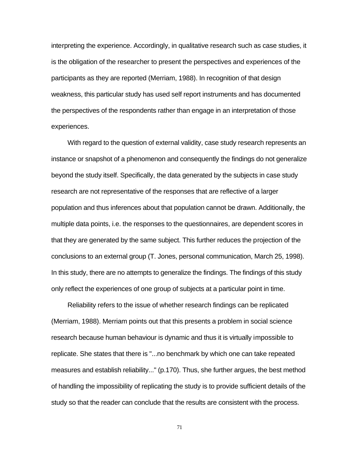interpreting the experience. Accordingly, in qualitative research such as case studies, it is the obligation of the researcher to present the perspectives and experiences of the participants as they are reported (Merriam, 1988). In recognition of that design weakness, this particular study has used self report instruments and has documented the perspectives of the respondents rather than engage in an interpretation of those experiences.

With regard to the question of external validity, case study research represents an instance or snapshot of a phenomenon and consequently the findings do not generalize beyond the study itself. Specifically, the data generated by the subjects in case study research are not representative of the responses that are reflective of a larger population and thus inferences about that population cannot be drawn. Additionally, the multiple data points, i.e. the responses to the questionnaires, are dependent scores in that they are generated by the same subject. This further reduces the projection of the conclusions to an external group (T. Jones, personal communication, March 25, 1998). In this study, there are no attempts to generalize the findings. The findings of this study only reflect the experiences of one group of subjects at a particular point in time.

Reliability refers to the issue of whether research findings can be replicated (Merriam, 1988). Merriam points out that this presents a problem in social science research because human behaviour is dynamic and thus it is virtually impossible to replicate. She states that there is "...no benchmark by which one can take repeated measures and establish reliability..." (p.170). Thus, she further argues, the best method of handling the impossibility of replicating the study is to provide sufficient details of the study so that the reader can conclude that the results are consistent with the process.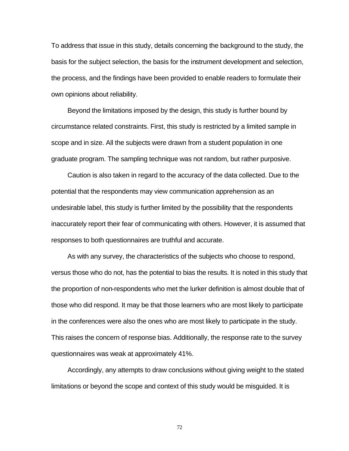To address that issue in this study, details concerning the background to the study, the basis for the subject selection, the basis for the instrument development and selection, the process, and the findings have been provided to enable readers to formulate their own opinions about reliability.

Beyond the limitations imposed by the design, this study is further bound by circumstance related constraints. First, this study is restricted by a limited sample in scope and in size. All the subjects were drawn from a student population in one graduate program. The sampling technique was not random, but rather purposive.

Caution is also taken in regard to the accuracy of the data collected. Due to the potential that the respondents may view communication apprehension as an undesirable label, this study is further limited by the possibility that the respondents inaccurately report their fear of communicating with others. However, it is assumed that responses to both questionnaires are truthful and accurate.

As with any survey, the characteristics of the subjects who choose to respond, versus those who do not, has the potential to bias the results. It is noted in this study that the proportion of non-respondents who met the lurker definition is almost double that of those who did respond. It may be that those learners who are most likely to participate in the conferences were also the ones who are most likely to participate in the study. This raises the concern of response bias. Additionally, the response rate to the survey questionnaires was weak at approximately 41%.

Accordingly, any attempts to draw conclusions without giving weight to the stated limitations or beyond the scope and context of this study would be misguided. It is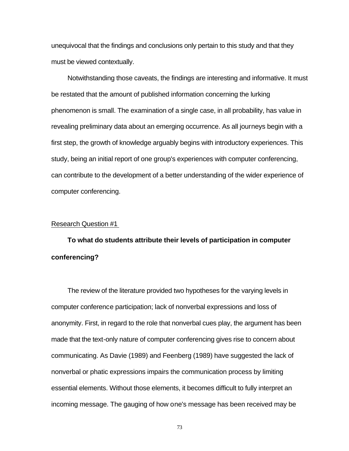unequivocal that the findings and conclusions only pertain to this study and that they must be viewed contextually.

Notwithstanding those caveats, the findings are interesting and informative. It must be restated that the amount of published information concerning the lurking phenomenon is small. The examination of a single case, in all probability, has value in revealing preliminary data about an emerging occurrence. As all journeys begin with a first step, the growth of knowledge arguably begins with introductory experiences. This study, being an initial report of one group's experiences with computer conferencing, can contribute to the development of a better understanding of the wider experience of computer conferencing.

#### Research Question #1

**To what do students attribute their levels of participation in computer conferencing?**

The review of the literature provided two hypotheses for the varying levels in computer conference participation; lack of nonverbal expressions and loss of anonymity. First, in regard to the role that nonverbal cues play, the argument has been made that the text-only nature of computer conferencing gives rise to concern about communicating. As Davie (1989) and Feenberg (1989) have suggested the lack of nonverbal or phatic expressions impairs the communication process by limiting essential elements. Without those elements, it becomes difficult to fully interpret an incoming message. The gauging of how one's message has been received may be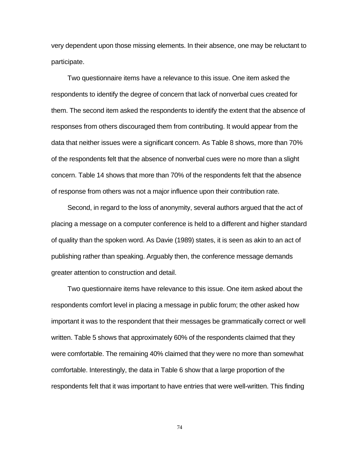very dependent upon those missing elements. In their absence, one may be reluctant to participate.

Two questionnaire items have a relevance to this issue. One item asked the respondents to identify the degree of concern that lack of nonverbal cues created for them. The second item asked the respondents to identify the extent that the absence of responses from others discouraged them from contributing. It would appear from the data that neither issues were a significant concern. As Table 8 shows, more than 70% of the respondents felt that the absence of nonverbal cues were no more than a slight concern. Table 14 shows that more than 70% of the respondents felt that the absence of response from others was not a major influence upon their contribution rate.

Second, in regard to the loss of anonymity, several authors argued that the act of placing a message on a computer conference is held to a different and higher standard of quality than the spoken word. As Davie (1989) states, it is seen as akin to an act of publishing rather than speaking. Arguably then, the conference message demands greater attention to construction and detail.

Two questionnaire items have relevance to this issue. One item asked about the respondents comfort level in placing a message in public forum; the other asked how important it was to the respondent that their messages be grammatically correct or well written. Table 5 shows that approximately 60% of the respondents claimed that they were comfortable. The remaining 40% claimed that they were no more than somewhat comfortable. Interestingly, the data in Table 6 show that a large proportion of the respondents felt that it was important to have entries that were well-written. This finding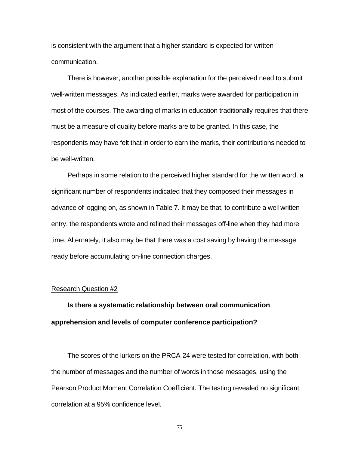is consistent with the argument that a higher standard is expected for written communication.

There is however, another possible explanation for the perceived need to submit well-written messages. As indicated earlier, marks were awarded for participation in most of the courses. The awarding of marks in education traditionally requires that there must be a measure of quality before marks are to be granted. In this case, the respondents may have felt that in order to earn the marks, their contributions needed to be well-written.

Perhaps in some relation to the perceived higher standard for the written word, a significant number of respondents indicated that they composed their messages in advance of logging on, as shown in Table 7. It may be that, to contribute a well written entry, the respondents wrote and refined their messages off-line when they had more time. Alternately, it also may be that there was a cost saving by having the message ready before accumulating on-line connection charges.

#### Research Question #2

**Is there a systematic relationship between oral communication apprehension and levels of computer conference participation?**

The scores of the lurkers on the PRCA-24 were tested for correlation, with both the number of messages and the number of words in those messages, using the Pearson Product Moment Correlation Coefficient. The testing revealed no significant correlation at a 95% confidence level.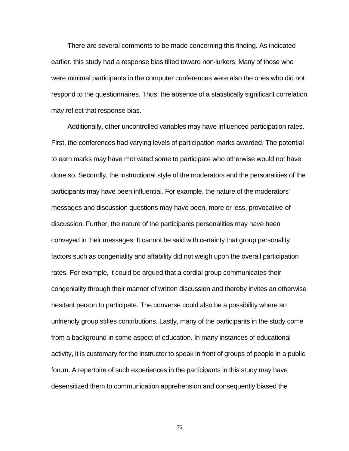There are several comments to be made concerning this finding. As indicated earlier, this study had a response bias tilted toward non-lurkers. Many of those who were minimal participants in the computer conferences were also the ones who did not respond to the questionnaires. Thus, the absence of a statistically significant correlation may reflect that response bias.

Additionally, other uncontrolled variables may have influenced participation rates. First, the conferences had varying levels of participation marks awarded. The potential to earn marks may have motivated some to participate who otherwise would not have done so. Secondly, the instructional style of the moderators and the personalities of the participants may have been influential. For example, the nature of the moderators' messages and discussion questions may have been, more or less, provocative of discussion. Further, the nature of the participants personalities may have been conveyed in their messages. It cannot be said with certainty that group personality factors such as congeniality and affability did not weigh upon the overall participation rates. For example, it could be argued that a cordial group communicates their congeniality through their manner of written discussion and thereby invites an otherwise hesitant person to participate. The converse could also be a possibility where an unfriendly group stifles contributions. Lastly, many of the participants in the study come from a background in some aspect of education. In many instances of educational activity, it is customary for the instructor to speak in front of groups of people in a public forum. A repertoire of such experiences in the participants in this study may have desensitized them to communication apprehension and consequently biased the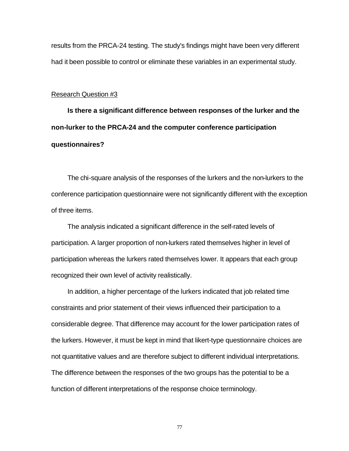results from the PRCA-24 testing. The study's findings might have been very different had it been possible to control or eliminate these variables in an experimental study.

#### Research Question #3

**Is there a significant difference between responses of the lurker and the non-lurker to the PRCA-24 and the computer conference participation questionnaires?**

The chi-square analysis of the responses of the lurkers and the non-lurkers to the conference participation questionnaire were not significantly different with the exception of three items.

The analysis indicated a significant difference in the self-rated levels of participation. A larger proportion of non-lurkers rated themselves higher in level of participation whereas the lurkers rated themselves lower. It appears that each group recognized their own level of activity realistically.

In addition, a higher percentage of the lurkers indicated that job related time constraints and prior statement of their views influenced their participation to a considerable degree. That difference may account for the lower participation rates of the lurkers. However, it must be kept in mind that likert-type questionnaire choices are not quantitative values and are therefore subject to different individual interpretations. The difference between the responses of the two groups has the potential to be a function of different interpretations of the response choice terminology.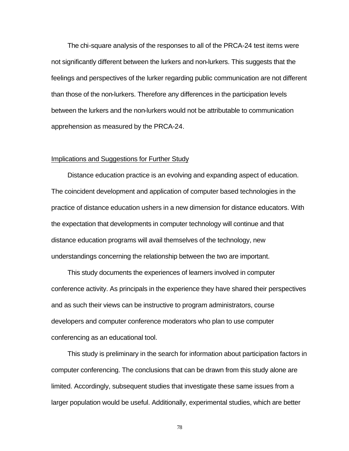The chi-square analysis of the responses to all of the PRCA-24 test items were not significantly different between the lurkers and non-lurkers. This suggests that the feelings and perspectives of the lurker regarding public communication are not different than those of the non-lurkers. Therefore any differences in the participation levels between the lurkers and the non-lurkers would not be attributable to communication apprehension as measured by the PRCA-24.

#### Implications and Suggestions for Further Study

Distance education practice is an evolving and expanding aspect of education. The coincident development and application of computer based technologies in the practice of distance education ushers in a new dimension for distance educators. With the expectation that developments in computer technology will continue and that distance education programs will avail themselves of the technology, new understandings concerning the relationship between the two are important.

This study documents the experiences of learners involved in computer conference activity. As principals in the experience they have shared their perspectives and as such their views can be instructive to program administrators, course developers and computer conference moderators who plan to use computer conferencing as an educational tool.

This study is preliminary in the search for information about participation factors in computer conferencing. The conclusions that can be drawn from this study alone are limited. Accordingly, subsequent studies that investigate these same issues from a larger population would be useful. Additionally, experimental studies, which are better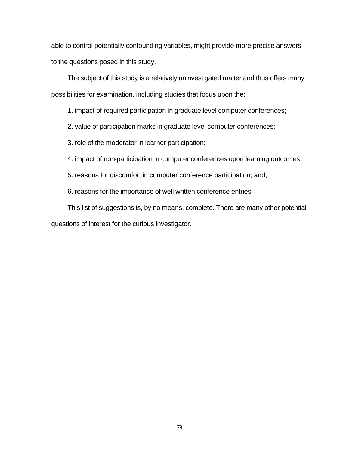able to control potentially confounding variables, might provide more precise answers to the questions posed in this study.

The subject of this study is a relatively uninvestigated matter and thus offers many possibilities for examination, including studies that focus upon the:

1. impact of required participation in graduate level computer conferences;

2. value of participation marks in graduate level computer conferences;

3. role of the moderator in learner participation;

4. impact of non-participation in computer conferences upon learning outcomes;

5. reasons for discomfort in computer conference participation; and,

6. reasons for the importance of well written conference entries.

This list of suggestions is, by no means, complete. There are many other potential questions of interest for the curious investigator.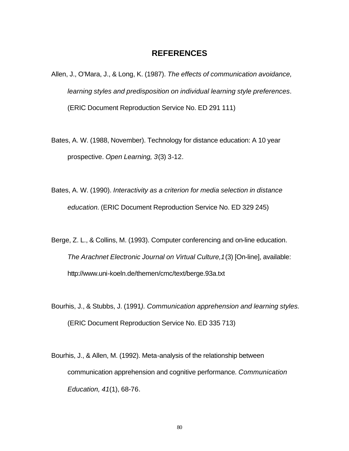### **REFERENCES**

- Allen, J., O'Mara, J., & Long, K. (1987). *The effects of communication avoidance, learning styles and predisposition on individual learning style preferences*. (ERIC Document Reproduction Service No. ED 291 111)
- Bates, A. W. (1988, November). Technology for distance education: A 10 year prospective. *Open Learning, 3*(3) 3-12.
- Bates, A. W. (1990). *Interactivity as a criterion for media selection in distance education.* (ERIC Document Reproduction Service No. ED 329 245)
- Berge, Z. L., & Collins, M. (1993). Computer conferencing and on-line education. *The Arachnet Electronic Journal on Virtual Culture,1*(3) [On-line], available: http://www.uni-koeln.de/themen/cmc/text/berge.93a.txt
- Bourhis, J., & Stubbs, J. (1991*). Communication apprehension and learning styles.* (ERIC Document Reproduction Service No. ED 335 713)
- Bourhis, J., & Allen, M. (1992). Meta-analysis of the relationship between communication apprehension and cognitive performance*. Communication Education, 41*(1), 68-76.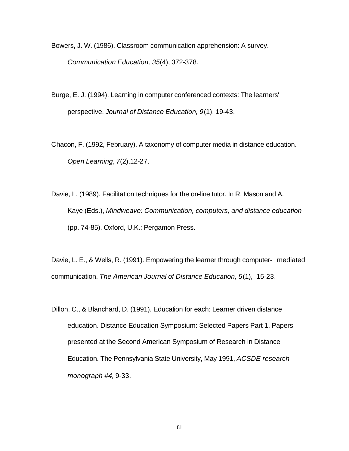Bowers, J. W. (1986). Classroom communication apprehension: A survey. *Communication Education, 35*(4), 372-378.

Burge, E. J. (1994). Learning in computer conferenced contexts: The learners' perspective. *Journal of Distance Education, 9*(1), 19-43.

Chacon, F. (1992, February). A taxonomy of computer media in distance education. *Open Learning*, *7*(2),12-27.

Davie, L. (1989). Facilitation techniques for the on-line tutor. In R. Mason and A. Kaye (Eds.), *Mindweave: Communication, computers, and distance education* (pp. 74-85). Oxford, U.K.: Pergamon Press.

Davie, L. E., & Wells, R. (1991). Empowering the learner through computer- mediated communication. *The American Journal of Distance Education, 5*(1), 15-23.

Dillon, C., & Blanchard, D. (1991). Education for each: Learner driven distance education. Distance Education Symposium: Selected Papers Part 1. Papers presented at the Second American Symposium of Research in Distance Education. The Pennsylvania State University, May 1991, *ACSDE research monograph #4,* 9-33.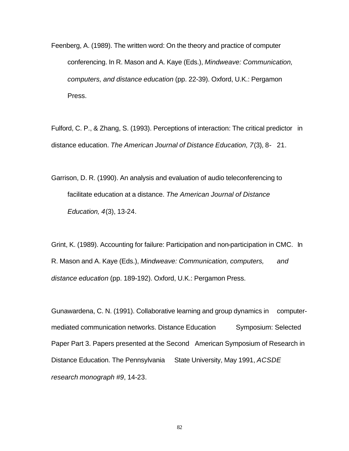Feenberg, A. (1989). The written word: On the theory and practice of computer conferencing. In R. Mason and A. Kaye (Eds.), *Mindweave: Communication, computers, and distance education* (pp. 22-39). Oxford, U.K.: Pergamon Press.

Fulford, C. P., & Zhang, S. (1993). Perceptions of interaction: The critical predictor in distance education. *The American Journal of Distance Education, 7*(3), 8- 21.

Garrison, D. R. (1990). An analysis and evaluation of audio teleconferencing to facilitate education at a distance. *The American Journal of Distance Education, 4*(3), 13-24.

Grint, K. (1989). Accounting for failure: Participation and non-participation in CMC. In R. Mason and A. Kaye (Eds.), *Mindweave: Communication, computers, and distance education* (pp. 189-192). Oxford, U.K.: Pergamon Press.

Gunawardena, C. N. (1991). Collaborative learning and group dynamics in computermediated communication networks. Distance Education Symposium: Selected Paper Part 3. Papers presented at the Second American Symposium of Research in Distance Education. The Pennsylvania State University, May 1991, *ACSDE research monograph #9*, 14-23.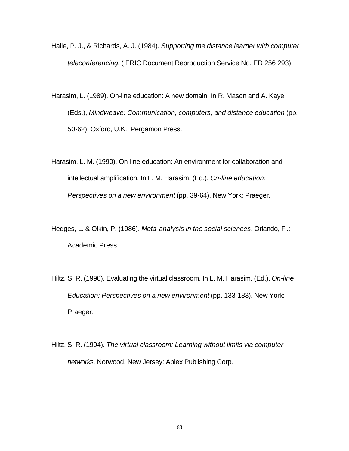- Haile, P. J., & Richards, A. J. (1984). *Supporting the distance learner with computer teleconferencing.* ( ERIC Document Reproduction Service No. ED 256 293)
- Harasim, L. (1989). On-line education: A new domain. In R. Mason and A. Kaye (Eds.), *Mindweave: Communication, computers, and distance education* (pp. 50-62). Oxford, U.K.: Pergamon Press.
- Harasim, L. M. (1990). On-line education: An environment for collaboration and intellectual amplification. In L. M. Harasim, (Ed.), *On-line education: Perspectives on a new environment* (pp. 39-64). New York: Praeger.
- Hedges, L. & Olkin, P. (1986). *Meta-analysis in the social sciences*. Orlando, Fl.: Academic Press.
- Hiltz, S. R. (1990). Evaluating the virtual classroom. In L. M. Harasim, (Ed.), *On-line Education: Perspectives on a new environment* (pp. 133-183). New York: Praeger.
- Hiltz, S. R. (1994). *The virtual classroom: Learning without limits via computer networks.* Norwood, New Jersey: Ablex Publishing Corp.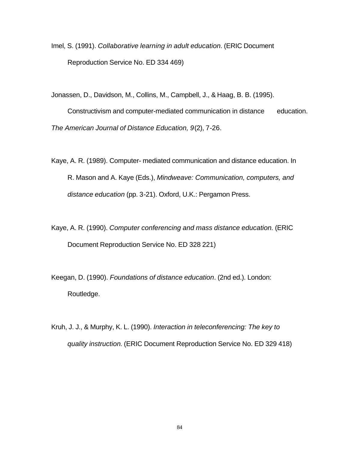- Imel, S. (1991). *Collaborative learning in adult education.* (ERIC Document Reproduction Service No. ED 334 469)
- Jonassen, D., Davidson, M., Collins, M., Campbell, J., & Haag, B. B. (1995). Constructivism and computer-mediated communication in distance education. *The American Journal of Distance Education, 9*(2), 7-26.
- Kaye, A. R. (1989). Computer- mediated communication and distance education. In R. Mason and A. Kaye (Eds.), *Mindweave: Communication, computers, and distance education* (pp. 3-21). Oxford, U.K.: Pergamon Press.
- Kaye, A. R. (1990). *Computer conferencing and mass distance education.* (ERIC Document Reproduction Service No. ED 328 221)
- Keegan, D. (1990). *Foundations of distance education*. (2nd ed.). London: Routledge.
- Kruh, J. J., & Murphy, K. L. (1990). *Interaction in teleconferencing: The key to quality instruction.* (ERIC Document Reproduction Service No. ED 329 418)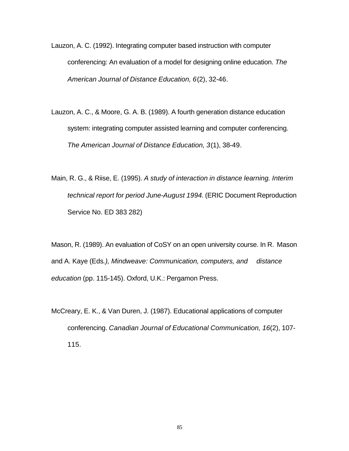- Lauzon, A. C. (1992). Integrating computer based instruction with computer conferencing: An evaluation of a model for designing online education. *The American Journal of Distance Education, 6*(2), 32-46.
- Lauzon, A. C., & Moore, G. A. B. (1989). A fourth generation distance education system: integrating computer assisted learning and computer conferencing. *The American Journal of Distance Education, 3*(1), 38-49.
- Main, R. G., & Riise, E. (1995). *A study of interaction in distance learning. Interim technical report for period June-August 1994.* (ERIC Document Reproduction Service No. ED 383 282)

Mason, R. (1989). An evaluation of CoSY on an open university course. In R. Mason and A. Kaye (Eds*.), Mindweave: Communication, computers, and distance education* (pp. 115-145). Oxford, U.K.: Pergamon Press.

McCreary, E. K., & Van Duren, J. (1987). Educational applications of computer conferencing. *Canadian Journal of Educational Communication, 16*(2), 107- 115.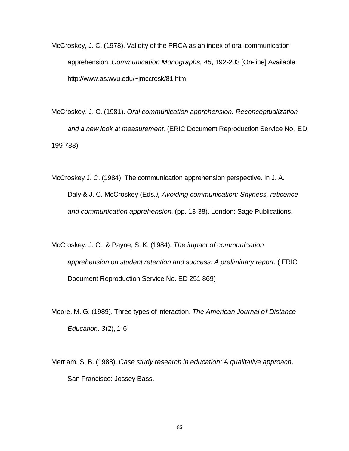- McCroskey, J. C. (1978). Validity of the PRCA as an index of oral communication apprehension. *Communication Monographs, 45*, 192-203 [On-line] Available: http://www.as.wvu.edu/~jmccrosk/81.htm
- McCroskey, J. C. (1981). *Oral communication apprehension: Reconceptualization and a new look at measurement.* (ERIC Document Reproduction Service No. ED 199 788)
- McCroskey J. C. (1984). The communication apprehension perspective. In J. A. Daly & J. C. McCroskey (Eds*.), Avoiding communication: Shyness, reticence and communication apprehension.* (pp. 13-38). London: Sage Publications.
- McCroskey, J. C., & Payne, S. K. (1984). *The impact of communication apprehension on student retention and success: A preliminary report.* ( ERIC Document Reproduction Service No. ED 251 869)
- Moore, M. G. (1989). Three types of interaction. *The American Journal of Distance Education, 3*(2), 1-6.
- Merriam, S. B. (1988). *Case study research in education: A qualitative approach*. San Francisco: Jossey-Bass.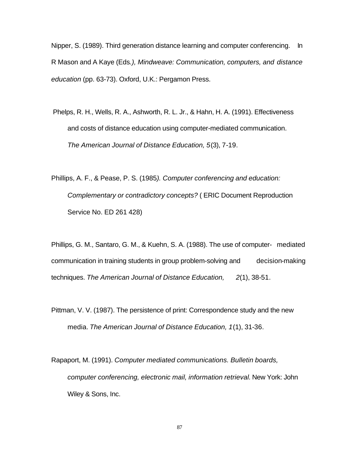Nipper, S. (1989). Third generation distance learning and computer conferencing. In R Mason and A Kaye (Eds*.), Mindweave: Communication, computers, and distance education* (pp. 63-73). Oxford, U.K.: Pergamon Press.

- Phelps, R. H., Wells, R. A., Ashworth, R. L. Jr., & Hahn, H. A. (1991). Effectiveness and costs of distance education using computer-mediated communication. *The American Journal of Distance Education, 5*(3), 7-19.
- Phillips, A. F., & Pease, P. S. (1985*). Computer conferencing and education: Complementary or contradictory concepts?* ( ERIC Document Reproduction Service No. ED 261 428)

Phillips, G. M., Santaro, G. M., & Kuehn, S. A. (1988). The use of computer- mediated communication in training students in group problem-solving and decision-making techniques. *The American Journal of Distance Education, 2*(1), 38-51.

- Pittman, V. V. (1987). The persistence of print: Correspondence study and the new media. *The American Journal of Distance Education, 1*(1), 31-36.
- Rapaport, M. (1991). *Computer mediated communications. Bulletin boards, computer conferencing, electronic mail, information retrieval.* New York: John Wiley & Sons, Inc.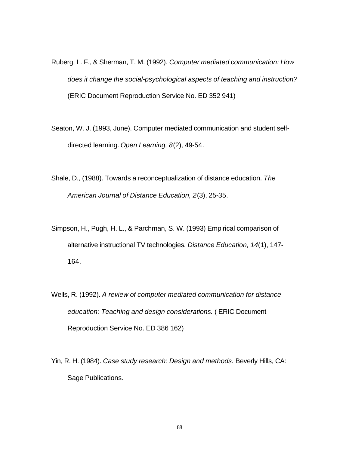- Ruberg, L. F., & Sherman, T. M. (1992). *Computer mediated communication: How does it change the social-psychological aspects of teaching and instruction?*  (ERIC Document Reproduction Service No. ED 352 941)
- Seaton, W. J. (1993, June). Computer mediated communication and student selfdirected learning. *Open Learning, 8*(2), 49-54.
- Shale, D., (1988). Towards a reconceptualization of distance education. *The American Journal of Distance Education, 2*(3), 25-35.
- Simpson, H., Pugh, H. L., & Parchman, S. W. (1993) Empirical comparison of alternative instructional TV technologies*. Distance Education, 14*(1), 147- 164.
- Wells, R. (1992). *A review of computer mediated communication for distance education: Teaching and design considerations.* ( ERIC Document Reproduction Service No. ED 386 162)
- Yin, R. H. (1984). *Case study research: Design and methods.* Beverly Hills, CA: Sage Publications.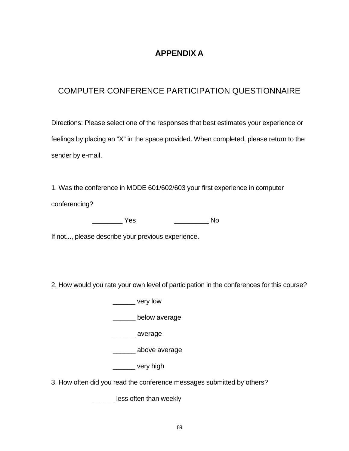# **APPENDIX A**

# COMPUTER CONFERENCE PARTICIPATION QUESTIONNAIRE

Directions: Please select one of the responses that best estimates your experience or feelings by placing an "X" in the space provided. When completed, please return to the sender by e-mail.

1. Was the conference in MDDE 601/602/603 your first experience in computer conferencing?

\_\_\_\_\_\_\_\_ Yes \_\_\_\_\_\_\_\_\_ No

If not..., please describe your previous experience.

2. How would you rate your own level of participation in the conferences for this course?

\_\_\_\_\_\_ very low

\_\_\_\_\_\_ below average

\_\_\_\_\_\_ average

\_\_\_\_\_\_ above average

\_\_\_\_\_\_ very high

3. How often did you read the conference messages submitted by others?

**\_\_\_\_\_\_\_** less often than weekly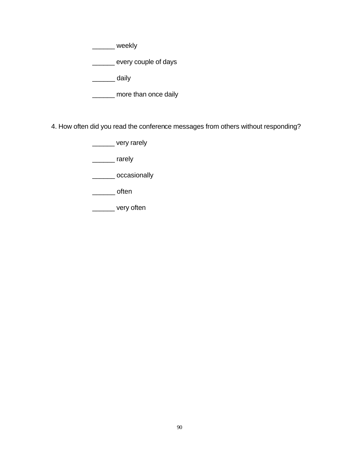\_\_\_\_\_\_ weekly

\_\_\_\_\_\_ every couple of days

\_\_\_\_\_\_ daily

\_\_\_\_\_\_ more than once daily

4. How often did you read the conference messages from others without responding?

\_\_\_\_\_\_ very rarely

\_\_\_\_\_\_ rarely

\_\_\_\_\_\_ occasionally

\_\_\_\_\_\_ often

\_\_\_\_\_\_ very often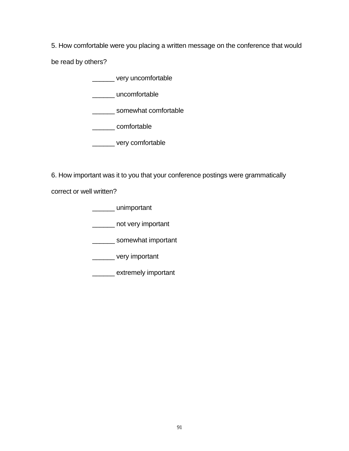5. How comfortable were you placing a written message on the conference that would

be read by others?

\_\_\_\_\_\_ very uncomfortable

\_\_\_\_\_\_ uncomfortable

\_\_\_\_\_\_ somewhat comfortable

\_\_\_\_\_\_ comfortable

\_\_\_\_\_\_ very comfortable

6. How important was it to you that your conference postings were grammatically

correct or well written?

\_\_\_\_\_\_ unimportant

\_\_\_\_\_\_ not very important

\_\_\_\_\_\_\_ somewhat important

\_\_\_\_\_\_ very important

\_\_\_\_\_\_ extremely important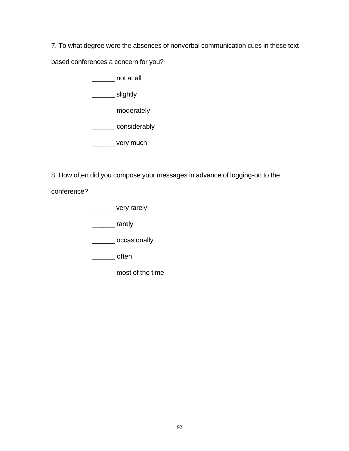7. To what degree were the absences of nonverbal communication cues in these text-

based conferences a concern for you?

\_\_\_\_\_\_ not at all

\_\_\_\_\_\_\_\_ slightly

\_\_\_\_\_\_ moderately

\_\_\_\_\_\_ considerably

\_\_\_\_\_\_\_ very much

8. How often did you compose your messages in advance of logging-on to the

conference?

\_\_\_\_\_\_ very rarely

\_\_\_\_\_\_ rarely

\_\_\_\_\_\_ occasionally

\_\_\_\_\_\_ often

\_\_\_\_\_\_ most of the time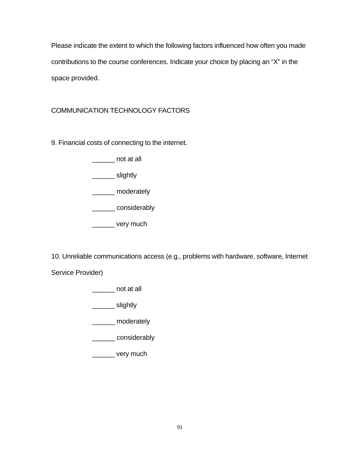Please indicate the extent to which the following factors influenced how often you made contributions to the course conferences. Indicate your choice by placing an "X" in the space provided.

# COMMUNICATION TECHNOLOGY FACTORS

9. Financial costs of connecting to the internet.

\_\_\_\_\_\_ not at all

\_\_\_\_\_\_\_\_ slightly

\_\_\_\_\_\_ moderately

\_\_\_\_\_\_ considerably

\_\_\_\_\_\_ very much

10. Unreliable communications access (e.g., problems with hardware, software, Internet

Service Provider)

\_\_\_\_\_\_ not at all

\_\_\_\_\_\_\_\_ slightly

\_\_\_\_\_\_ moderately

\_\_\_\_\_\_ considerably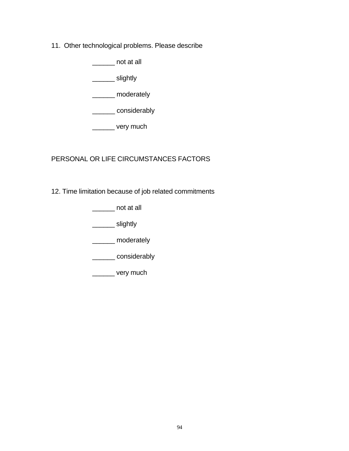11. Other technological problems. Please describe

\_\_\_\_\_\_ not at all

\_\_\_\_\_\_\_ slightly

\_\_\_\_\_\_ moderately

\_\_\_\_\_\_ considerably

\_\_\_\_\_\_\_ very much

# PERSONAL OR LIFE CIRCUMSTANCES FACTORS

12. Time limitation because of job related commitments

\_\_\_\_\_\_ not at all

\_\_\_\_\_\_\_ slightly

\_\_\_\_\_\_ moderately

\_\_\_\_\_\_ considerably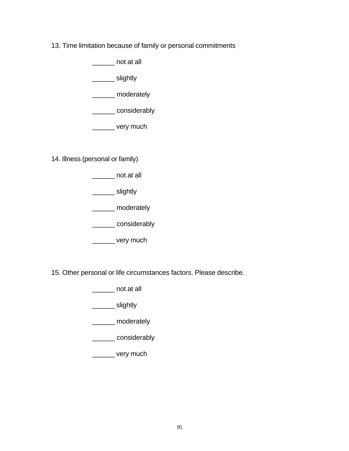13. Time limitation because of family or personal commitments

\_\_\_\_\_\_ not at all

\_\_\_\_\_\_ slightly

\_\_\_\_\_\_ moderately

\_\_\_\_\_\_ considerably

\_\_\_\_\_\_ very much

14. Illness (personal or family)

\_\_\_\_\_\_ not at all

\_\_\_\_\_\_ slightly

\_\_\_\_\_\_ moderately

\_\_\_\_\_\_ considerably

\_\_\_\_\_\_ very much

15. Other personal or life circumstances factors. Please describe.

\_\_\_\_\_\_ not at all

\_\_\_\_\_\_\_ slightly

\_\_\_\_\_\_ moderately

\_\_\_\_\_\_ considerably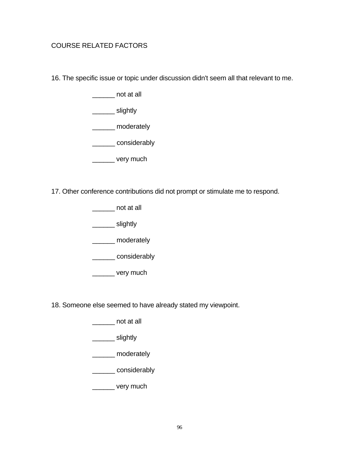## COURSE RELATED FACTORS

16. The specific issue or topic under discussion didn't seem all that relevant to me.

not at all

\_\_\_\_\_\_\_\_ slightly

\_\_\_\_\_\_ moderately

\_\_\_\_\_\_ considerably

\_\_\_\_\_\_ very much

17. Other conference contributions did not prompt or stimulate me to respond.

\_\_\_\_\_\_ not at all

\_\_\_\_\_\_\_ slightly

\_\_\_\_\_\_ moderately

\_\_\_\_\_\_ considerably

\_\_\_\_\_\_ very much

18. Someone else seemed to have already stated my viewpoint.

\_\_\_\_\_\_ not at all

\_\_\_\_\_\_\_ slightly

\_\_\_\_\_\_ moderately

\_\_\_\_\_\_ considerably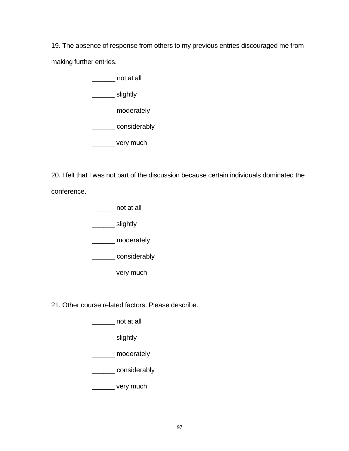19. The absence of response from others to my previous entries discouraged me from making further entries.

> \_\_\_\_\_\_ not at all \_\_\_\_\_\_ slightly \_\_\_\_\_\_ moderately \_\_\_\_\_\_ considerably \_\_\_\_\_\_ very much

20. I felt that I was not part of the discussion because certain individuals dominated the conference.

\_\_\_\_\_\_ not at all

\_\_\_\_\_\_\_ slightly

\_\_\_\_\_\_ moderately

\_\_\_\_\_\_ considerably

\_\_\_\_\_\_ very much

21. Other course related factors. Please describe.

\_\_\_\_\_\_ not at all

\_\_\_\_\_\_\_ slightly

\_\_\_\_\_\_ moderately

\_\_\_\_\_\_ considerably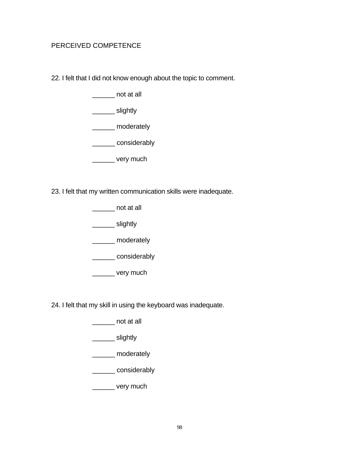## PERCEIVED COMPETENCE

22. I felt that I did not know enough about the topic to comment.

not at all

\_\_\_\_\_\_\_\_ slightly

\_\_\_\_\_\_ moderately

\_\_\_\_\_\_ considerably

\_\_\_\_\_\_ very much

23. I felt that my written communication skills were inadequate.

\_\_\_\_\_\_ not at all

\_\_\_\_\_\_\_ slightly

\_\_\_\_\_\_ moderately

\_\_\_\_\_\_ considerably

\_\_\_\_\_\_ very much

24. I felt that my skill in using the keyboard was inadequate.

\_\_\_\_\_\_ not at all

\_\_\_\_\_\_\_ slightly

\_\_\_\_\_\_ moderately

\_\_\_\_\_\_ considerably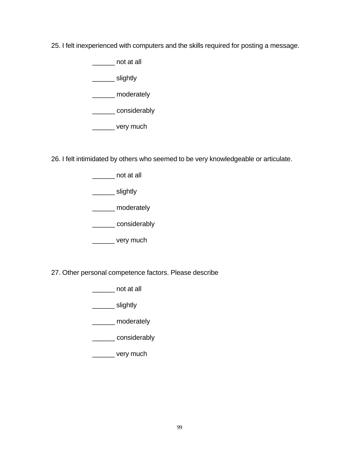25. I felt inexperienced with computers and the skills required for posting a message.

\_\_\_\_\_\_ not at all

\_\_\_\_\_\_\_\_ slightly

\_\_\_\_\_\_ moderately

\_\_\_\_\_\_ considerably

\_\_\_\_\_\_ very much

26. I felt intimidated by others who seemed to be very knowledgeable or articulate.

\_\_\_\_\_\_ not at all

\_\_\_\_\_\_\_\_ slightly

\_\_\_\_\_\_ moderately

\_\_\_\_\_\_ considerably

\_\_\_\_\_\_ very much

27. Other personal competence factors. Please describe

\_\_\_\_\_\_ not at all

\_\_\_\_\_\_\_ slightly

\_\_\_\_\_\_ moderately

\_\_\_\_\_\_ considerably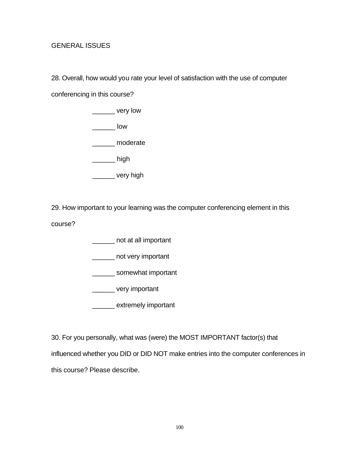# GENERAL ISSUES

28. Overall, how would you rate your level of satisfaction with the use of computer

conferencing in this course?

\_\_\_\_\_\_ very low

\_\_\_\_\_\_ low

\_\_\_\_\_\_ moderate

\_\_\_\_\_\_ high

\_\_\_\_\_\_ very high

29. How important to your learning was the computer conferencing element in this

course?

\_\_\_\_\_\_ not at all important

\_\_\_\_\_\_ not very important

\_\_\_\_\_\_\_ somewhat important

\_\_\_\_\_\_ very important

\_\_\_\_\_\_ extremely important

30. For you personally, what was (were) the MOST IMPORTANT factor(s) that

influenced whether you DID or DID NOT make entries into the computer conferences in

this course? Please describe.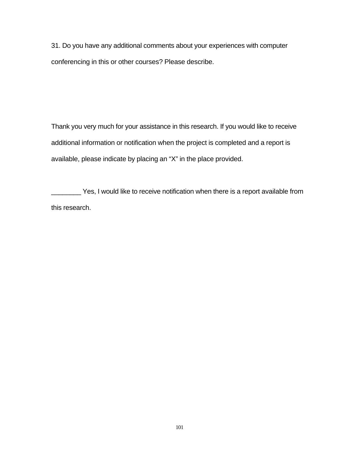31. Do you have any additional comments about your experiences with computer conferencing in this or other courses? Please describe.

Thank you very much for your assistance in this research. If you would like to receive additional information or notification when the project is completed and a report is available, please indicate by placing an "X" in the place provided.

Yes, I would like to receive notification when there is a report available from this research.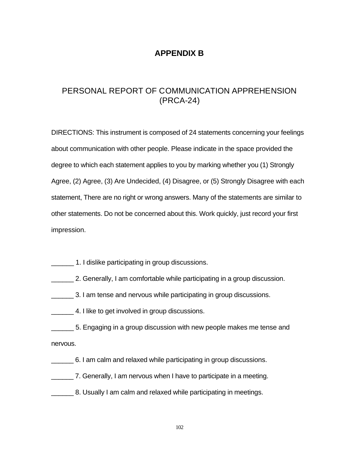# **APPENDIX B**

# PERSONAL REPORT OF COMMUNICATION APPREHENSION (PRCA-24)

DIRECTIONS: This instrument is composed of 24 statements concerning your feelings about communication with other people. Please indicate in the space provided the degree to which each statement applies to you by marking whether you (1) Strongly Agree, (2) Agree, (3) Are Undecided, (4) Disagree, or (5) Strongly Disagree with each statement, There are no right or wrong answers. Many of the statements are similar to other statements. Do not be concerned about this. Work quickly, just record your first impression.

- 1. I dislike participating in group discussions.
- \_\_\_\_\_\_ 2. Generally, I am comfortable while participating in a group discussion.
- \_\_\_\_\_\_ 3. I am tense and nervous while participating in group discussions.
- **EXECUTE:** 4. I like to get involved in group discussions.
- \_\_\_\_\_\_ 5. Engaging in a group discussion with new people makes me tense and nervous.
- \_\_\_\_\_\_ 6. I am calm and relaxed while participating in group discussions.
- \_\_\_\_\_\_ 7. Generally, I am nervous when I have to participate in a meeting.
- 8. Usually I am calm and relaxed while participating in meetings.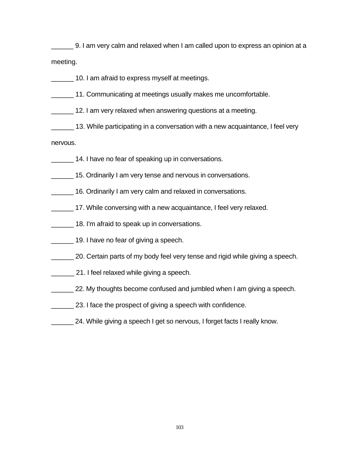**Fig. 2. 1** 9. I am very calm and relaxed when I am called upon to express an opinion at a meeting.

- **10. I am afraid to express myself at meetings.**
- 11. Communicating at meetings usually makes me uncomfortable.
- 12. I am very relaxed when answering questions at a meeting.
- 13. While participating in a conversation with a new acquaintance, I feel very

nervous.

- 14. I have no fear of speaking up in conversations.
- 15. Ordinarily I am very tense and nervous in conversations.
- 16. Ordinarily I am very calm and relaxed in conversations.
- 17. While conversing with a new acquaintance, I feel very relaxed.
- 18. I'm afraid to speak up in conversations.
- 19. I have no fear of giving a speech.
- \_\_\_\_\_\_ 20. Certain parts of my body feel very tense and rigid while giving a speech.
- \_\_\_\_\_\_ 21. I feel relaxed while giving a speech.
- **22.** My thoughts become confused and jumbled when I am giving a speech.
- 23. I face the prospect of giving a speech with confidence.
- 24. While giving a speech I get so nervous, I forget facts I really know.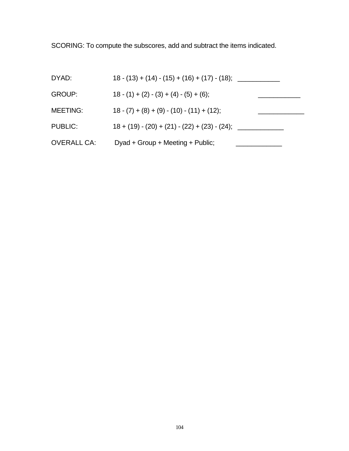SCORING: To compute the subscores, add and subtract the items indicated.

| DYAD:              | $18 - (13) + (14) - (15) + (16) + (17) - (18);$ |  |
|--------------------|-------------------------------------------------|--|
| <b>GROUP:</b>      | $18-(1) + (2) - (3) + (4) - (5) + (6);$         |  |
| <b>MEETING:</b>    | $18 - (7) + (8) + (9) - (10) - (11) + (12);$    |  |
| <b>PUBLIC:</b>     | $18 + (19) - (20) + (21) - (22) + (23) - (24);$ |  |
| <b>OVERALL CA:</b> | Dyad + Group + Meeting + Public;                |  |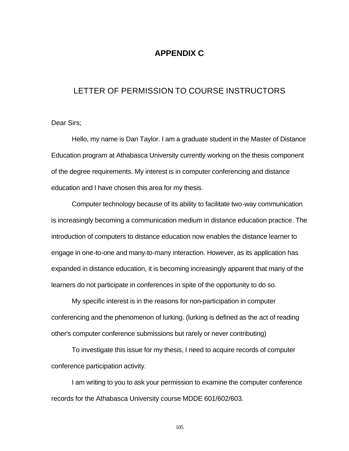## **APPENDIX C**

#### LETTER OF PERMISSION TO COURSE INSTRUCTORS

Dear Sirs;

Hello, my name is Dan Taylor. I am a graduate student in the Master of Distance Education program at Athabasca University currently working on the thesis component of the degree requirements. My interest is in computer conferencing and distance education and I have chosen this area for my thesis.

Computer technology because of its ability to facilitate two-way communication is increasingly becoming a communication medium in distance education practice. The introduction of computers to distance education now enables the distance learner to engage in one-to-one and many-to-many interaction. However, as its application has expanded in distance education, it is becoming increasingly apparent that many of the learners do not participate in conferences in spite of the opportunity to do so.

My specific interest is in the reasons for non-participation in computer conferencing and the phenomenon of lurking. (lurking is defined as the act of reading other's computer conference submissions but rarely or never contributing)

To investigate this issue for my thesis, I need to acquire records of computer conference participation activity.

I am writing to you to ask your permission to examine the computer conference records for the Athabasca University course MDDE 601/602/603.

105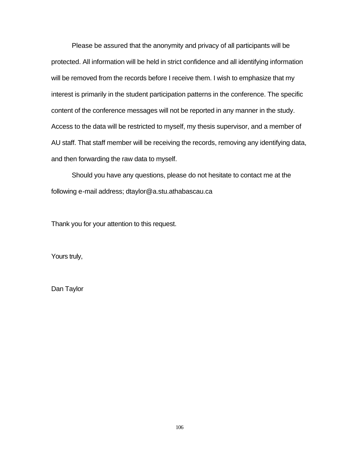Please be assured that the anonymity and privacy of all participants will be protected. All information will be held in strict confidence and all identifying information will be removed from the records before I receive them. I wish to emphasize that my interest is primarily in the student participation patterns in the conference. The specific content of the conference messages will not be reported in any manner in the study. Access to the data will be restricted to myself, my thesis supervisor, and a member of AU staff. That staff member will be receiving the records, removing any identifying data, and then forwarding the raw data to myself.

Should you have any questions, please do not hesitate to contact me at the following e-mail address; dtaylor@a.stu.athabascau.ca

Thank you for your attention to this request.

Yours truly,

Dan Taylor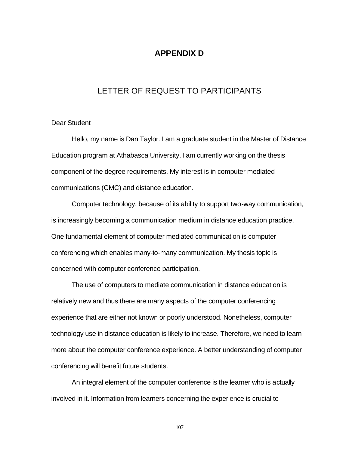# **APPENDIX D**

## LETTER OF REQUEST TO PARTICIPANTS

#### Dear Student

Hello, my name is Dan Taylor. I am a graduate student in the Master of Distance Education program at Athabasca University. I am currently working on the thesis component of the degree requirements. My interest is in computer mediated communications (CMC) and distance education.

Computer technology, because of its ability to support two-way communication, is increasingly becoming a communication medium in distance education practice. One fundamental element of computer mediated communication is computer conferencing which enables many-to-many communication. My thesis topic is concerned with computer conference participation.

The use of computers to mediate communication in distance education is relatively new and thus there are many aspects of the computer conferencing experience that are either not known or poorly understood. Nonetheless, computer technology use in distance education is likely to increase. Therefore, we need to learn more about the computer conference experience. A better understanding of computer conferencing will benefit future students.

An integral element of the computer conference is the learner who is actually involved in it. Information from learners concerning the experience is crucial to

107